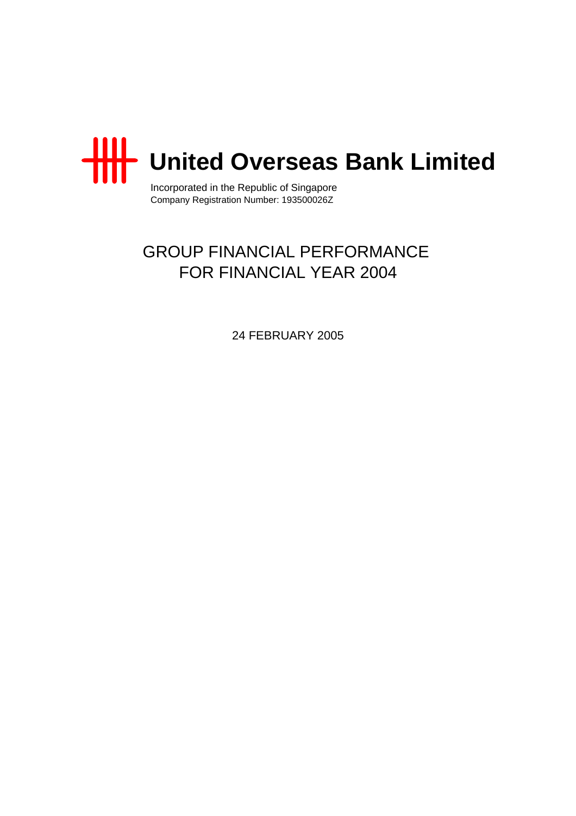

Incorporated in the Republic of Singapore Company Registration Number: 193500026Z

# GROUP FINANCIAL PERFORMANCE FOR FINANCIAL YEAR 2004

24 FEBRUARY 2005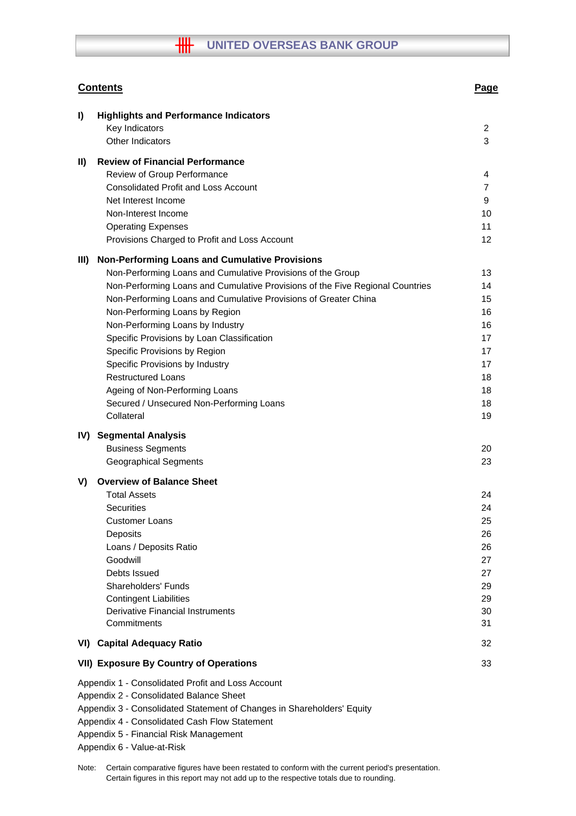# **WHEEP OVERSEAS BANK GROUP**

|               | <b>Contents</b>                                                                                                                                                                                                                                                                                                                                                                                                                                                                                                                                                                           | Page                                                                 |
|---------------|-------------------------------------------------------------------------------------------------------------------------------------------------------------------------------------------------------------------------------------------------------------------------------------------------------------------------------------------------------------------------------------------------------------------------------------------------------------------------------------------------------------------------------------------------------------------------------------------|----------------------------------------------------------------------|
| I)            | <b>Highlights and Performance Indicators</b><br>Key Indicators<br><b>Other Indicators</b>                                                                                                                                                                                                                                                                                                                                                                                                                                                                                                 | 2<br>3                                                               |
| $\mathbf{II}$ | <b>Review of Financial Performance</b><br>Review of Group Performance<br><b>Consolidated Profit and Loss Account</b><br>Net Interest Income<br>Non-Interest Income<br><b>Operating Expenses</b><br>Provisions Charged to Profit and Loss Account                                                                                                                                                                                                                                                                                                                                          | 4<br>$\overline{7}$<br>9<br>10<br>11<br>12                           |
| III)          | <b>Non-Performing Loans and Cumulative Provisions</b><br>Non-Performing Loans and Cumulative Provisions of the Group<br>Non-Performing Loans and Cumulative Provisions of the Five Regional Countries<br>Non-Performing Loans and Cumulative Provisions of Greater China<br>Non-Performing Loans by Region<br>Non-Performing Loans by Industry<br>Specific Provisions by Loan Classification<br>Specific Provisions by Region<br>Specific Provisions by Industry<br><b>Restructured Loans</b><br>Ageing of Non-Performing Loans<br>Secured / Unsecured Non-Performing Loans<br>Collateral | 13<br>14<br>15<br>16<br>16<br>17<br>17<br>17<br>18<br>18<br>18<br>19 |
| IV)           | <b>Segmental Analysis</b><br><b>Business Segments</b><br><b>Geographical Segments</b>                                                                                                                                                                                                                                                                                                                                                                                                                                                                                                     | 20<br>23                                                             |
| V)            | <b>Overview of Balance Sheet</b><br><b>Total Assets</b><br>Securities<br><b>Customer Loans</b><br>Deposits<br>Loans / Deposits Ratio<br>Goodwill<br>Debts Issued<br>Shareholders' Funds<br><b>Contingent Liabilities</b><br><b>Derivative Financial Instruments</b><br>Commitments                                                                                                                                                                                                                                                                                                        | 24<br>24<br>25<br>26<br>26<br>27<br>27<br>29<br>29<br>30<br>31       |
|               | <b>VI) Capital Adequacy Ratio</b>                                                                                                                                                                                                                                                                                                                                                                                                                                                                                                                                                         | 32                                                                   |
|               | <b>VII) Exposure By Country of Operations</b>                                                                                                                                                                                                                                                                                                                                                                                                                                                                                                                                             | 33                                                                   |
|               | Appendix 1 - Consolidated Profit and Loss Account<br>Appendix 2 - Consolidated Balance Sheet<br>Appendix 3 - Consolidated Statement of Changes in Shareholders' Equity<br>Appendix 4 - Consolidated Cash Flow Statement<br>Appendix 5 - Financial Risk Management<br>Appendix 6 - Value-at-Risk                                                                                                                                                                                                                                                                                           |                                                                      |

Note: Certain comparative figures have been restated to conform with the current period's presentation. Certain figures in this report may not add up to the respective totals due to rounding.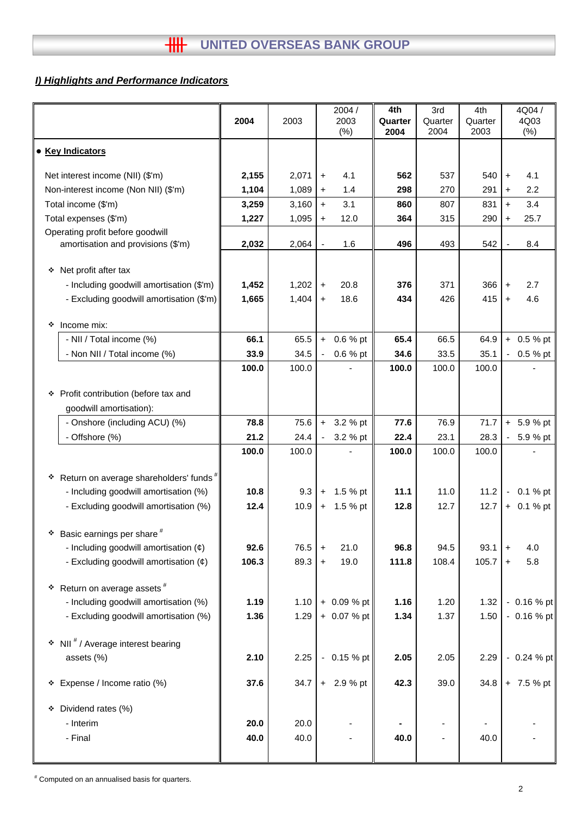# *I) Highlights and Performance Indicators*

|   |                                                    | 2004  | 2003  |                      | 2004 /<br>2003<br>(% ) | 4th<br>Quarter<br>2004 | 3rd<br>Quarter<br>2004 | 4th<br>Quarter<br>2003 |                      | 4Q04 /<br>4Q03<br>(% ) |
|---|----------------------------------------------------|-------|-------|----------------------|------------------------|------------------------|------------------------|------------------------|----------------------|------------------------|
|   | • Key Indicators                                   |       |       |                      |                        |                        |                        |                        |                      |                        |
|   | Net interest income (NII) (\$'m)                   | 2,155 | 2,071 | $\pm$                | 4.1                    | 562                    | 537                    | 540                    | $+$                  | 4.1                    |
|   | Non-interest income (Non NII) (\$'m)               | 1,104 | 1,089 | $\ddot{}$            | 1.4                    | 298                    | 270                    | 291                    | $\ddot{}$            | 2.2                    |
|   | Total income (\$'m)                                | 3,259 | 3,160 | $\ddot{\phantom{1}}$ | 3.1                    | 860                    | 807                    | 831                    | $+$                  | 3.4                    |
|   | Total expenses (\$'m)                              | 1,227 | 1,095 | $+$                  | 12.0                   | 364                    | 315                    | 290                    | $\ddot{}$            | 25.7                   |
|   | Operating profit before goodwill                   |       |       |                      |                        |                        |                        |                        |                      |                        |
|   | amortisation and provisions (\$'m)                 | 2,032 | 2,064 | $\blacksquare$       | 1.6                    | 496                    | 493                    | 542                    |                      | 8.4                    |
|   | ❖ Net profit after tax                             |       |       |                      |                        |                        |                        |                        |                      |                        |
|   | - Including goodwill amortisation (\$'m)           | 1,452 | 1,202 | $\pm$                | 20.8                   | 376                    | 371                    | 366                    | $\ddot{}$            | 2.7                    |
|   | - Excluding goodwill amortisation (\$'m)           | 1,665 | 1,404 | $\ddot{}$            | 18.6                   | 434                    | 426                    | 415                    | $+$                  | 4.6                    |
|   |                                                    |       |       |                      |                        |                        |                        |                        |                      |                        |
| ❖ | Income mix:                                        |       |       |                      |                        |                        |                        |                        |                      |                        |
|   | - NII / Total income (%)                           | 66.1  | 65.5  | $\ddot{}$            | 0.6 % pt               | 65.4                   | 66.5                   | 64.9                   |                      | $+ 0.5 %$ pt           |
|   | - Non NII / Total income (%)                       | 33.9  | 34.5  | $\blacksquare$       | 0.6 % pt               | 34.6                   | 33.5                   | 35.1                   |                      | $-0.5 \%$ pt           |
|   |                                                    | 100.0 | 100.0 |                      |                        | 100.0                  | 100.0                  | 100.0                  |                      |                        |
|   | * Profit contribution (before tax and              |       |       |                      |                        |                        |                        |                        |                      |                        |
|   | goodwill amortisation):                            |       |       |                      |                        |                        |                        |                        |                      |                        |
|   | - Onshore (including ACU) (%)                      | 78.8  | 75.6  | $\ddot{}$            | 3.2 % pt               | 77.6                   | 76.9                   | 71.7                   |                      | $+ 5.9 %$ pt           |
|   | - Offshore (%)                                     | 21.2  | 24.4  | $\blacksquare$       | 3.2 % pt               | 22.4                   | 23.1                   | 28.3                   |                      | $-5.9%$ pt             |
|   |                                                    | 100.0 | 100.0 |                      |                        | 100.0                  | 100.0                  | 100.0                  |                      |                        |
|   |                                                    |       |       |                      |                        |                        |                        |                        |                      |                        |
| ۰ | Return on average shareholders' funds <sup>#</sup> |       |       |                      |                        |                        |                        |                        |                      |                        |
|   | - Including goodwill amortisation (%)              | 10.8  | 9.3   | $\color{red}+$       | 1.5 % pt               | 11.1                   | 11.0                   | 11.2                   |                      | $-0.1%$ pt             |
|   | - Excluding goodwill amortisation (%)              | 12.4  | 10.9  | $\ddot{}$            | 1.5 % pt               | 12.8                   | 12.7                   | 12.7                   |                      | $+ 0.1 %$ pt           |
|   | $*$ Basic earnings per share $*$                   |       |       |                      |                        |                        |                        |                        |                      |                        |
|   | - Including goodwill amortisation $(\phi)$         | 92.6  | 76.5  | $\qquad \qquad +$    | 21.0                   | 96.8                   | 94.5                   | 93.1                   | $\ddot{}$            | 4.0                    |
|   | - Excluding goodwill amortisation (¢)              | 106.3 | 89.3  | $\pm$                | 19.0                   | 111.8                  | 108.4                  | 105.7                  | $\ddot{\phantom{1}}$ | 5.8                    |
|   |                                                    |       |       |                      |                        |                        |                        |                        |                      |                        |
| ٠ | Return on average assets <sup>#</sup>              |       |       |                      |                        |                        |                        |                        |                      |                        |
|   | - Including goodwill amortisation (%)              | 1.19  | 1.10  |                      | + 0.09 % pt            | 1.16                   | 1.20                   | 1.32                   |                      | $-0.16%$ pt            |
|   | - Excluding goodwill amortisation (%)              | 1.36  | 1.29  |                      | $+ 0.07 %$ pt          | 1.34                   | 1.37                   | 1.50                   |                      | $-0.16%$ pt            |
|   | * NII # / Average interest bearing                 |       |       |                      |                        |                        |                        |                        |                      |                        |
|   | assets (%)                                         | 2.10  | 2.25  |                      | $-0.15%$ pt            | 2.05                   | 2.05                   | 2.29                   |                      | $-0.24%$ pt            |
|   |                                                    |       |       |                      |                        |                        |                        |                        |                      |                        |
|   | * Expense / Income ratio (%)                       | 37.6  | 34.7  |                      | $+ 2.9 %$ pt           | 42.3                   | 39.0                   | 34.8                   |                      | + 7.5 % pt             |
|   |                                                    |       |       |                      |                        |                        |                        |                        |                      |                        |
| ۰ | Dividend rates (%)                                 |       |       |                      |                        |                        |                        |                        |                      |                        |
|   | - Interim                                          | 20.0  | 20.0  |                      |                        |                        |                        |                        |                      |                        |
|   | - Final                                            | 40.0  | 40.0  |                      |                        | 40.0                   |                        | 40.0                   |                      |                        |
|   |                                                    |       |       |                      |                        |                        |                        |                        |                      |                        |

# Computed on an annualised basis for quarters.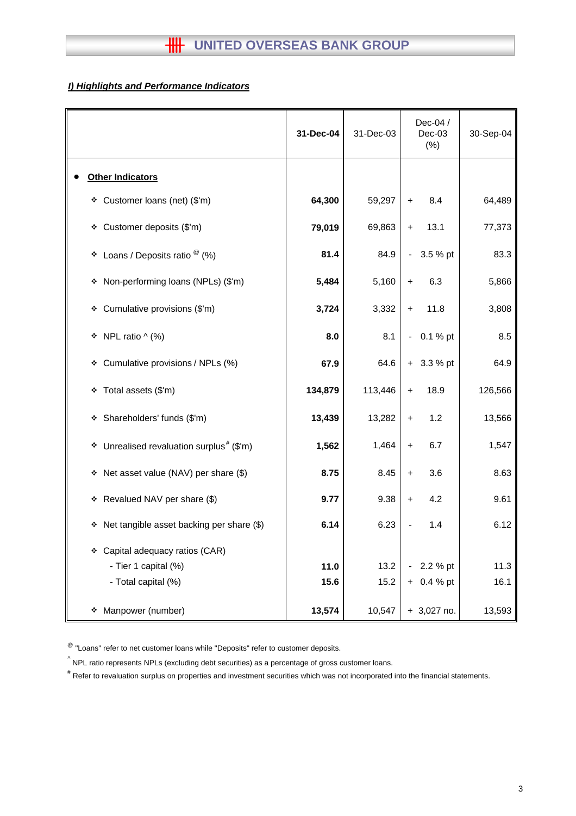# **HH** UNITED OVERSEAS BANK GROUP

# *I) Highlights and Performance Indicators*

|                                                         | 31-Dec-04 | 31-Dec-03 | Dec-04 /<br>$Dec-03$<br>(%) | 30-Sep-04 |
|---------------------------------------------------------|-----------|-----------|-----------------------------|-----------|
| <b>Other Indicators</b>                                 |           |           |                             |           |
| Customer loans (net) (\$'m)<br>❖                        | 64,300    | 59,297    | 8.4<br>$\ddot{}$            | 64,489    |
| * Customer deposits (\$'m)                              | 79,019    | 69,863    | 13.1<br>$+$                 | 77,373    |
| Loans / Deposits ratio $^\circledR$ (%)<br>❖            | 81.4      | 84.9      | 3.5 % pt<br>$\blacksquare$  | 83.3      |
| Non-performing loans (NPLs) (\$'m)<br>❖                 | 5,484     | 5,160     | 6.3<br>$\ddot{}$            | 5,866     |
| Cumulative provisions (\$'m)<br>❖                       | 3,724     | 3,332     | 11.8<br>$\ddag$             | 3,808     |
| NPL ratio $\wedge$ (%)<br>❖                             | 8.0       | 8.1       | 0.1 % pt<br>$\blacksquare$  | 8.5       |
| Cumulative provisions / NPLs (%)<br>❖                   | 67.9      | 64.6      | $+ 3.3 %$ pt                | 64.9      |
| Total assets (\$'m)<br>❖                                | 134,879   | 113,446   | 18.9<br>$\ddot{}$           | 126,566   |
| Shareholders' funds (\$'m)<br>❖                         | 13,439    | 13,282    | 1.2<br>$+$                  | 13,566    |
| Unrealised revaluation surplus <sup>#</sup> (\$'m)<br>❖ | 1,562     | 1,464     | 6.7<br>$\ddot{\phantom{1}}$ | 1,547     |
| Net asset value (NAV) per share (\$)<br>❖               | 8.75      | 8.45      | 3.6<br>$+$                  | 8.63      |
| * Revalued NAV per share (\$)                           | 9.77      | 9.38      | 4.2<br>$\ddot{}$            | 9.61      |
| Net tangible asset backing per share (\$)<br>❖          | 6.14      | 6.23      | 1.4                         | 6.12      |
| Capital adequacy ratios (CAR)<br>❖                      |           |           |                             |           |
| - Tier 1 capital (%)                                    | 11.0      | 13.2      | 2.2 % pt                    | 11.3      |
| - Total capital (%)                                     | 15.6      | 15.2      | 0.4 % pt<br>$+$             | 16.1      |
| Manpower (number)<br>❖                                  | 13,574    | 10,547    | $+3,027$ no.                | 13,593    |

 $^{\circledR}$  "Loans" refer to net customer loans while "Deposits" refer to customer deposits.

 $^{\wedge}$  NPL ratio represents NPLs (excluding debt securities) as a percentage of gross customer loans.

# Refer to revaluation surplus on properties and investment securities which was not incorporated into the financial statements.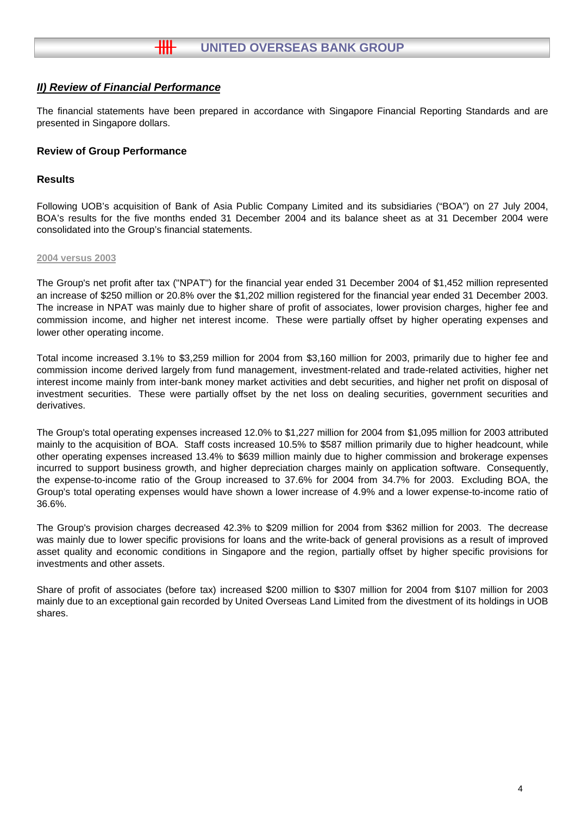The financial statements have been prepared in accordance with Singapore Financial Reporting Standards and are presented in Singapore dollars.

# **Review of Group Performance**

# **Results**

Following UOB's acquisition of Bank of Asia Public Company Limited and its subsidiaries ("BOA") on 27 July 2004, BOA's results for the five months ended 31 December 2004 and its balance sheet as at 31 December 2004 were consolidated into the Group's financial statements.

#### **2004 versus 2003**

The Group's net profit after tax ("NPAT") for the financial year ended 31 December 2004 of \$1,452 million represented an increase of \$250 million or 20.8% over the \$1,202 million registered for the financial year ended 31 December 2003. The increase in NPAT was mainly due to higher share of profit of associates, lower provision charges, higher fee and commission income, and higher net interest income. These were partially offset by higher operating expenses and lower other operating income.

Total income increased 3.1% to \$3,259 million for 2004 from \$3,160 million for 2003, primarily due to higher fee and commission income derived largely from fund management, investment-related and trade-related activities, higher net interest income mainly from inter-bank money market activities and debt securities, and higher net profit on disposal of investment securities. These were partially offset by the net loss on dealing securities, government securities and derivatives.

The Group's total operating expenses increased 12.0% to \$1,227 million for 2004 from \$1,095 million for 2003 attributed mainly to the acquisition of BOA. Staff costs increased 10.5% to \$587 million primarily due to higher headcount, while other operating expenses increased 13.4% to \$639 million mainly due to higher commission and brokerage expenses incurred to support business growth, and higher depreciation charges mainly on application software. Consequently, the expense-to-income ratio of the Group increased to 37.6% for 2004 from 34.7% for 2003. Excluding BOA, the Group's total operating expenses would have shown a lower increase of 4.9% and a lower expense-to-income ratio of 36.6%.

The Group's provision charges decreased 42.3% to \$209 million for 2004 from \$362 million for 2003. The decrease was mainly due to lower specific provisions for loans and the write-back of general provisions as a result of improved asset quality and economic conditions in Singapore and the region, partially offset by higher specific provisions for investments and other assets.

Share of profit of associates (before tax) increased \$200 million to \$307 million for 2004 from \$107 million for 2003 mainly due to an exceptional gain recorded by United Overseas Land Limited from the divestment of its holdings in UOB shares.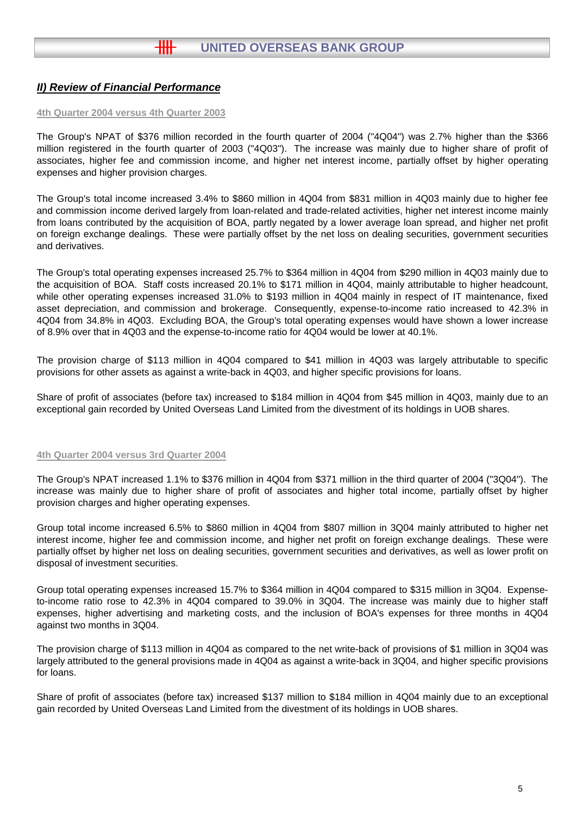#### **4th Quarter 2004 versus 4th Quarter 2003**

The Group's NPAT of \$376 million recorded in the fourth quarter of 2004 ("4Q04") was 2.7% higher than the \$366 million registered in the fourth quarter of 2003 ("4Q03"). The increase was mainly due to higher share of profit of associates, higher fee and commission income, and higher net interest income, partially offset by higher operating expenses and higher provision charges.

The Group's total income increased 3.4% to \$860 million in 4Q04 from \$831 million in 4Q03 mainly due to higher fee and commission income derived largely from loan-related and trade-related activities, higher net interest income mainly from loans contributed by the acquisition of BOA, partly negated by a lower average loan spread, and higher net profit on foreign exchange dealings. These were partially offset by the net loss on dealing securities, government securities and derivatives.

The Group's total operating expenses increased 25.7% to \$364 million in 4Q04 from \$290 million in 4Q03 mainly due to the acquisition of BOA. Staff costs increased 20.1% to \$171 million in 4Q04, mainly attributable to higher headcount, while other operating expenses increased 31.0% to \$193 million in 4Q04 mainly in respect of IT maintenance, fixed asset depreciation, and commission and brokerage. Consequently, expense-to-income ratio increased to 42.3% in 4Q04 from 34.8% in 4Q03. Excluding BOA, the Group's total operating expenses would have shown a lower increase of 8.9% over that in 4Q03 and the expense-to-income ratio for 4Q04 would be lower at 40.1%.

The provision charge of \$113 million in 4Q04 compared to \$41 million in 4Q03 was largely attributable to specific provisions for other assets as against a write-back in 4Q03, and higher specific provisions for loans.

Share of profit of associates (before tax) increased to \$184 million in 4Q04 from \$45 million in 4Q03, mainly due to an exceptional gain recorded by United Overseas Land Limited from the divestment of its holdings in UOB shares.

#### **4th Quarter 2004 versus 3rd Quarter 2004**

The Group's NPAT increased 1.1% to \$376 million in 4Q04 from \$371 million in the third quarter of 2004 ("3Q04"). The increase was mainly due to higher share of profit of associates and higher total income, partially offset by higher provision charges and higher operating expenses.

Group total income increased 6.5% to \$860 million in 4Q04 from \$807 million in 3Q04 mainly attributed to higher net interest income, higher fee and commission income, and higher net profit on foreign exchange dealings. These were partially offset by higher net loss on dealing securities, government securities and derivatives, as well as lower profit on disposal of investment securities.

Group total operating expenses increased 15.7% to \$364 million in 4Q04 compared to \$315 million in 3Q04. Expenseto-income ratio rose to 42.3% in 4Q04 compared to 39.0% in 3Q04. The increase was mainly due to higher staff expenses, higher advertising and marketing costs, and the inclusion of BOA's expenses for three months in 4Q04 against two months in 3Q04.

The provision charge of \$113 million in 4Q04 as compared to the net write-back of provisions of \$1 million in 3Q04 was largely attributed to the general provisions made in 4Q04 as against a write-back in 3Q04, and higher specific provisions for loans.

Share of profit of associates (before tax) increased \$137 million to \$184 million in 4Q04 mainly due to an exceptional gain recorded by United Overseas Land Limited from the divestment of its holdings in UOB shares.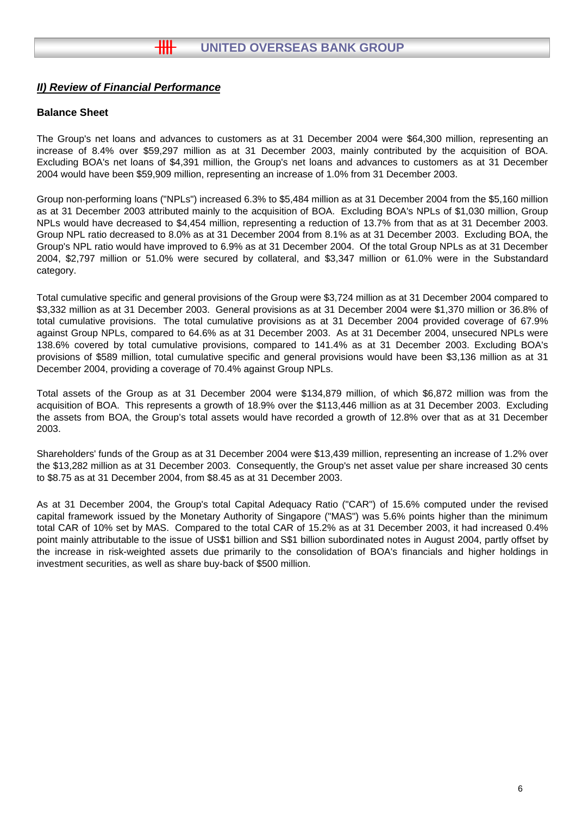# **Balance Sheet**

The Group's net loans and advances to customers as at 31 December 2004 were \$64,300 million, representing an increase of 8.4% over \$59,297 million as at 31 December 2003, mainly contributed by the acquisition of BOA. Excluding BOA's net loans of \$4,391 million, the Group's net loans and advances to customers as at 31 December 2004 would have been \$59,909 million, representing an increase of 1.0% from 31 December 2003.

Group non-performing loans ("NPLs") increased 6.3% to \$5,484 million as at 31 December 2004 from the \$5,160 million as at 31 December 2003 attributed mainly to the acquisition of BOA. Excluding BOA's NPLs of \$1,030 million, Group NPLs would have decreased to \$4,454 million, representing a reduction of 13.7% from that as at 31 December 2003. Group NPL ratio decreased to 8.0% as at 31 December 2004 from 8.1% as at 31 December 2003. Excluding BOA, the Group's NPL ratio would have improved to 6.9% as at 31 December 2004. Of the total Group NPLs as at 31 December 2004, \$2,797 million or 51.0% were secured by collateral, and \$3,347 million or 61.0% were in the Substandard category.

Total cumulative specific and general provisions of the Group were \$3,724 million as at 31 December 2004 compared to \$3,332 million as at 31 December 2003. General provisions as at 31 December 2004 were \$1,370 million or 36.8% of total cumulative provisions. The total cumulative provisions as at 31 December 2004 provided coverage of 67.9% against Group NPLs, compared to 64.6% as at 31 December 2003. As at 31 December 2004, unsecured NPLs were 138.6% covered by total cumulative provisions, compared to 141.4% as at 31 December 2003. Excluding BOA's provisions of \$589 million, total cumulative specific and general provisions would have been \$3,136 million as at 31 December 2004, providing a coverage of 70.4% against Group NPLs.

Total assets of the Group as at 31 December 2004 were \$134,879 million, of which \$6,872 million was from the acquisition of BOA. This represents a growth of 18.9% over the \$113,446 million as at 31 December 2003. Excluding the assets from BOA, the Group's total assets would have recorded a growth of 12.8% over that as at 31 December 2003.

Shareholders' funds of the Group as at 31 December 2004 were \$13,439 million, representing an increase of 1.2% over the \$13,282 million as at 31 December 2003. Consequently, the Group's net asset value per share increased 30 cents to \$8.75 as at 31 December 2004, from \$8.45 as at 31 December 2003.

As at 31 December 2004, the Group's total Capital Adequacy Ratio ("CAR") of 15.6% computed under the revised capital framework issued by the Monetary Authority of Singapore ("MAS") was 5.6% points higher than the minimum total CAR of 10% set by MAS. Compared to the total CAR of 15.2% as at 31 December 2003, it had increased 0.4% point mainly attributable to the issue of US\$1 billion and S\$1 billion subordinated notes in August 2004, partly offset by the increase in risk-weighted assets due primarily to the consolidation of BOA's financials and higher holdings in investment securities, as well as share buy-back of \$500 million.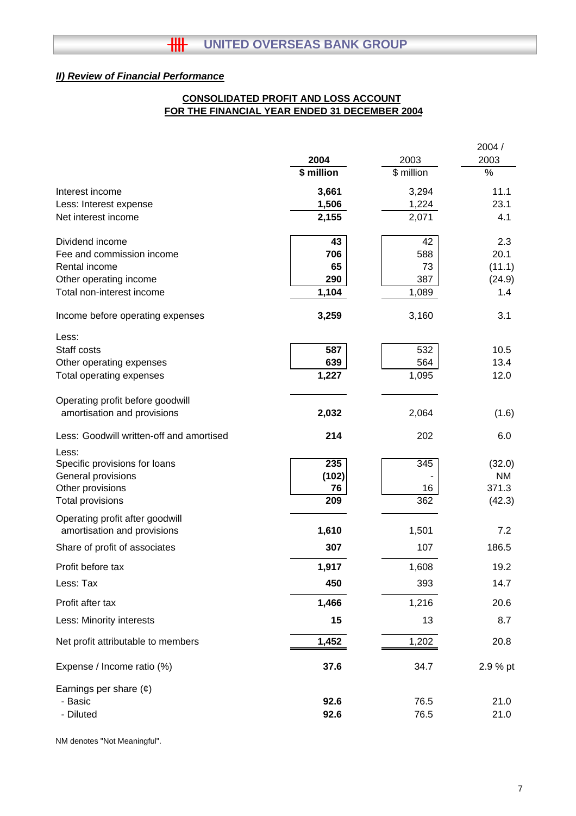# **FOR THE FINANCIAL YEAR ENDED 31 DECEMBER 2004 CONSOLIDATED PROFIT AND LOSS ACCOUNT**

|                                          |             |                     | 2004 /             |
|------------------------------------------|-------------|---------------------|--------------------|
|                                          | 2004        | 2003                | 2003               |
|                                          | \$ million  | $\sqrt{\$}$ million | %                  |
| Interest income                          | 3,661       | 3,294               | 11.1               |
| Less: Interest expense                   | 1,506       | 1,224               | 23.1               |
| Net interest income                      | 2,155       | 2,071               | 4.1                |
| Dividend income                          | 43          | 42                  | 2.3                |
| Fee and commission income                | 706         | 588                 | 20.1               |
| Rental income                            | 65          | 73                  | (11.1)             |
| Other operating income                   | 290         | 387                 | (24.9)             |
| Total non-interest income                | 1,104       | 1,089               | 1.4                |
| Income before operating expenses         | 3,259       | 3,160               | 3.1                |
| Less:                                    |             |                     |                    |
| Staff costs                              | 587         | 532                 | 10.5               |
| Other operating expenses                 | 639         | 564                 | 13.4               |
| Total operating expenses                 | 1,227       | 1,095               | 12.0               |
| Operating profit before goodwill         |             |                     |                    |
| amortisation and provisions              | 2,032       | 2,064               | (1.6)              |
| Less: Goodwill written-off and amortised | 214         | 202                 | 6.0                |
| Less:                                    |             |                     |                    |
| Specific provisions for loans            | 235         | $\overline{345}$    | (32.0)             |
| General provisions<br>Other provisions   | (102)<br>76 | 16                  | <b>NM</b><br>371.3 |
| <b>Total provisions</b>                  | 209         | 362                 | (42.3)             |
| Operating profit after goodwill          |             |                     |                    |
| amortisation and provisions              | 1,610       | 1,501               | 7.2                |
| Share of profit of associates            | 307         | 107                 | 186.5              |
| Profit before tax                        | 1,917       | 1,608               | 19.2               |
| Less: Tax                                | 450         | 393                 | 14.7               |
| Profit after tax                         | 1,466       | 1,216               | 20.6               |
| Less: Minority interests                 | 15          | 13                  | 8.7                |
| Net profit attributable to members       | 1,452       | 1,202               | 20.8               |
| Expense / Income ratio (%)               | 37.6        | 34.7                | 2.9 % pt           |
| Earnings per share $(\phi)$              |             |                     |                    |
| - Basic                                  | 92.6        | 76.5                | 21.0               |
| - Diluted                                | 92.6        | 76.5                | 21.0               |

NM denotes "Not Meaningful".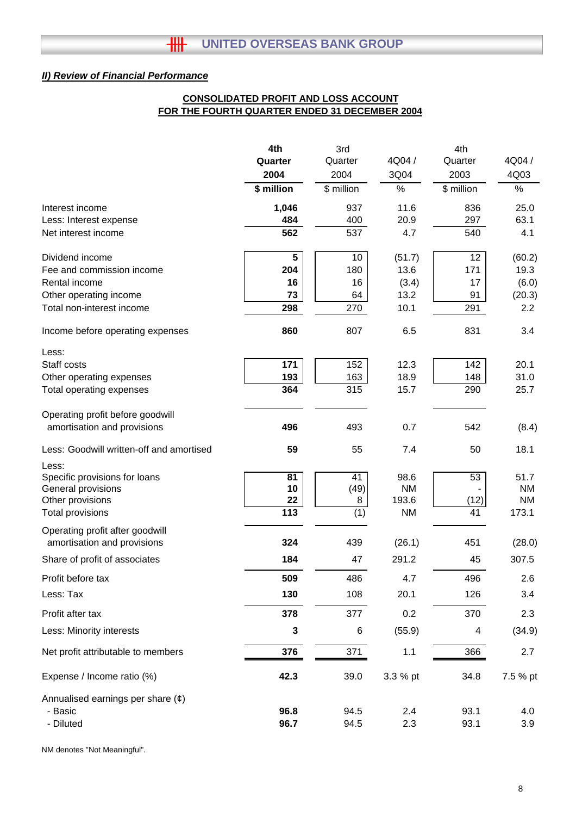# **CONSOLIDATED PROFIT AND LOSS ACCOUNT FOR THE FOURTH QUARTER ENDED 31 DECEMBER 2004**

|                                                                | 4th             | 3rd        |                    | 4th        |                    |
|----------------------------------------------------------------|-----------------|------------|--------------------|------------|--------------------|
|                                                                | Quarter         | Quarter    | 4Q04 /             | Quarter    | 4Q04 /             |
|                                                                | 2004            | 2004       | 3Q04               | 2003       | 4Q03               |
|                                                                | \$ million      | \$ million | %                  | \$ million | $\%$               |
| Interest income                                                | 1,046           | 937        | 11.6               | 836        | 25.0               |
| Less: Interest expense                                         | 484             | 400        | 20.9               | 297        | 63.1               |
| Net interest income                                            | 562             | 537        | 4.7                | 540        | 4.1                |
| Dividend income                                                | 5               | 10         | (51.7)             | 12         | (60.2)             |
| Fee and commission income                                      | 204             | 180        | 13.6               | 171        | 19.3               |
| Rental income                                                  | 16              | 16         | (3.4)              | 17         | (6.0)              |
| Other operating income                                         | 73              | 64         | 13.2               | 91         | (20.3)             |
| Total non-interest income                                      | 298             | 270        | 10.1               | 291        | 2.2                |
| Income before operating expenses                               | 860             | 807        | 6.5                | 831        | 3.4                |
| Less:                                                          |                 |            |                    |            |                    |
| Staff costs                                                    | 171             | 152        | 12.3               | 142        | 20.1               |
| Other operating expenses                                       | 193             | 163        | 18.9               | 148        | 31.0               |
| Total operating expenses                                       | 364             | 315        | 15.7               | 290        | 25.7               |
| Operating profit before goodwill                               |                 |            |                    |            |                    |
| amortisation and provisions                                    | 496             | 493        | 0.7                | 542        | (8.4)              |
| Less: Goodwill written-off and amortised                       | 59              | 55         | 7.4                | 50         | 18.1               |
| Less:                                                          |                 |            |                    |            |                    |
| Specific provisions for loans                                  | $\overline{81}$ | 41         | 98.6               | 53         | 51.7               |
| General provisions                                             | 10              | (49)       | <b>NM</b>          |            | <b>NM</b>          |
| Other provisions                                               | 22<br>113       | 8          | 193.6<br><b>NM</b> | (12)<br>41 | <b>NM</b><br>173.1 |
| <b>Total provisions</b>                                        |                 | (1)        |                    |            |                    |
| Operating profit after goodwill<br>amortisation and provisions | 324             | 439        | (26.1)             | 451        | (28.0)             |
| Share of profit of associates                                  | 184             | 47         | 291.2              | 45         | 307.5              |
| Profit before tax                                              | 509             | 486        | 4.7                | 496        | 2.6                |
| Less: Tax                                                      | 130             | 108        | 20.1               | 126        | 3.4                |
| Profit after tax                                               | 378             | 377        | 0.2                | 370        | 2.3                |
| Less: Minority interests                                       | 3               | 6          | (55.9)             | 4          | (34.9)             |
| Net profit attributable to members                             | 376             | 371        | 1.1                | 366        | 2.7                |
| Expense / Income ratio (%)                                     | 42.3            | 39.0       | 3.3 % pt           | 34.8       | 7.5 % pt           |
| Annualised earnings per share $(e)$                            |                 |            |                    |            |                    |
| - Basic                                                        | 96.8            | 94.5       | 2.4                | 93.1       | 4.0                |
| - Diluted                                                      | 96.7            | 94.5       | 2.3                | 93.1       | 3.9                |
|                                                                |                 |            |                    |            |                    |

NM denotes "Not Meaningful".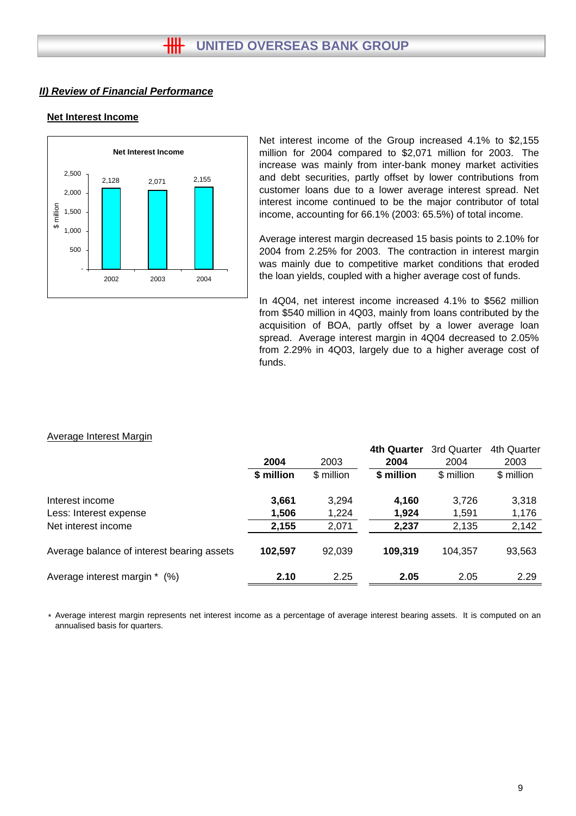### **Net Interest Income**



Net interest income of the Group increased 4.1% to \$2,155 million for 2004 compared to \$2,071 million for 2003. The increase was mainly from inter-bank money market activities and debt securities, partly offset by lower contributions from customer loans due to a lower average interest spread. Net interest income continued to be the major contributor of total income, accounting for 66.1% (2003: 65.5%) of total income.

Average interest margin decreased 15 basis points to 2.10% for 2004 from 2.25% for 2003. The contraction in interest margin was mainly due to competitive market conditions that eroded the loan yields, coupled with a higher average cost of funds.

In 4Q04, net interest income increased 4.1% to \$562 million from \$540 million in 4Q03, mainly from loans contributed by the acquisition of BOA, partly offset by a lower average loan spread. Average interest margin in 4Q04 decreased to 2.05% from 2.29% in 4Q03, largely due to a higher average cost of funds.

#### Average Interest Margin

|                                            |            |            | 4th Quarter | 3rd Quarter | 4th Quarter |
|--------------------------------------------|------------|------------|-------------|-------------|-------------|
|                                            | 2004       | 2003       | 2004        | 2004        | 2003        |
|                                            | \$ million | \$ million | \$ million  | \$ million  | \$ million  |
| Interest income                            | 3,661      | 3,294      | 4,160       | 3,726       | 3,318       |
| Less: Interest expense                     | 1,506      | 1,224      | 1,924       | 1,591       | 1,176       |
| Net interest income                        | 2,155      | 2,071      | 2,237       | 2,135       | 2,142       |
| Average balance of interest bearing assets | 102.597    | 92.039     | 109.319     | 104,357     | 93,563      |
| Average interest margin *<br>$(\%)$        | 2.10       | 2.25       | 2.05        | 2.05        | 2.29        |

\* Average interest margin represents net interest income as a percentage of average interest bearing assets. It is computed on an annualised basis for quarters.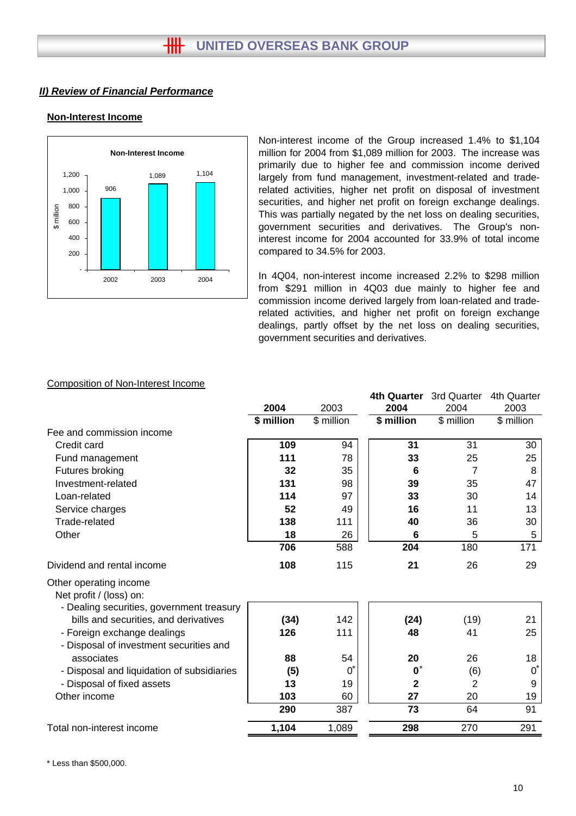# **Non-Interest Income**



Non-interest income of the Group increased 1.4% to \$1,104 million for 2004 from \$1,089 million for 2003. The increase was primarily due to higher fee and commission income derived largely from fund management, investment-related and traderelated activities, higher net profit on disposal of investment securities, and higher net profit on foreign exchange dealings. This was partially negated by the net loss on dealing securities, government securities and derivatives. The Group's noninterest income for 2004 accounted for 33.9% of total income compared to 34.5% for 2003.

In 4Q04, non-interest income increased 2.2% to \$298 million from \$291 million in 4Q03 due mainly to higher fee and commission income derived largely from loan-related and traderelated activities, and higher net profit on foreign exchange dealings, partly offset by the net loss on dealing securities, government securities and derivatives.

#### Composition of Non-Interest Income

|                                                                                    |            |                              | <b>4th Quarter</b> | 3rd Quarter | 4th Quarter |
|------------------------------------------------------------------------------------|------------|------------------------------|--------------------|-------------|-------------|
|                                                                                    | 2004       | 2003                         | 2004               | 2004        | 2003        |
|                                                                                    | \$ million | $\sqrt{\frac{2}{1}}$ million | \$ million         | \$ million  | \$ million  |
| Fee and commission income                                                          |            |                              |                    |             |             |
| Credit card                                                                        | 109        | 94                           | 31                 | 31          | 30          |
| Fund management                                                                    | 111        | 78                           | 33                 | 25          | 25          |
| Futures broking                                                                    | 32         | 35                           | 6                  | 7           | 8           |
| Investment-related                                                                 | 131        | 98                           | 39                 | 35          | 47          |
| Loan-related                                                                       | 114        | 97                           | 33                 | 30          | 14          |
| Service charges                                                                    | 52         | 49                           | 16                 | 11          | 13          |
| Trade-related                                                                      | 138        | 111                          | 40                 | 36          | 30          |
| Other                                                                              | 18         | 26                           | 6                  | 5           | 5           |
|                                                                                    | 706        | 588                          | 204                | 180         | 171         |
| Dividend and rental income                                                         | 108        | 115                          | 21                 | 26          | 29          |
| Other operating income<br>Net profit / (loss) on:                                  |            |                              |                    |             |             |
| - Dealing securities, government treasury<br>bills and securities, and derivatives | (34)       | 142                          | (24)               | (19)        | 21          |
| - Foreign exchange dealings<br>- Disposal of investment securities and             | 126        | 111                          | 48                 | 41          | 25          |
| associates                                                                         | 88         | 54                           | 20                 | 26          | 18          |
| - Disposal and liquidation of subsidiaries                                         | (5)        | $\mathbf{0}^{\mathbf{c}}$    | $\mathbf{0}$       | (6)         | $0^*$       |
| - Disposal of fixed assets                                                         | 13         | 19                           | $\mathbf{2}$       | 2           | 9           |
| Other income                                                                       | 103        | 60                           | 27                 | 20          | 19          |
|                                                                                    | 290        | 387                          | 73                 | 64          | 91          |
| Total non-interest income                                                          | 1,104      | 1,089                        | 298                | 270         | 291         |
|                                                                                    |            |                              |                    |             |             |

\* Less than \$500,000.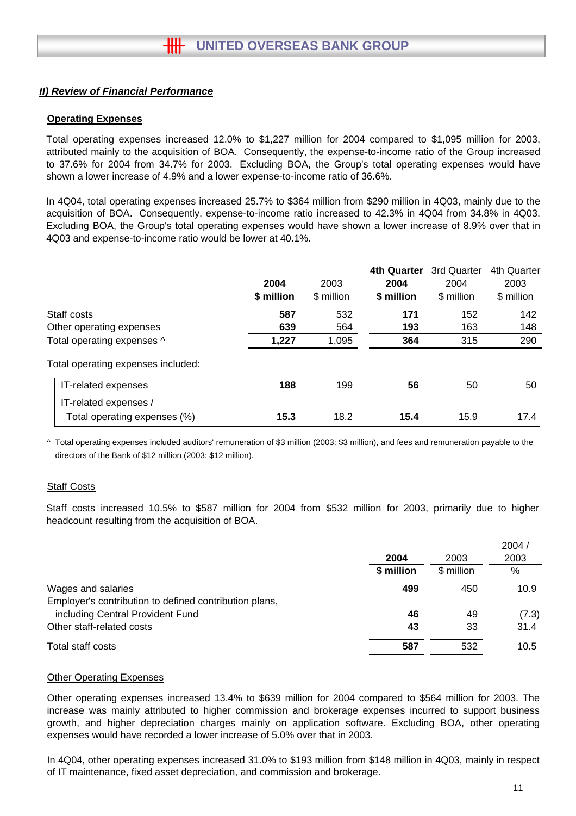# **Operating Expenses**

Total operating expenses increased 12.0% to \$1,227 million for 2004 compared to \$1,095 million for 2003, attributed mainly to the acquisition of BOA. Consequently, the expense-to-income ratio of the Group increased to 37.6% for 2004 from 34.7% for 2003. Excluding BOA, the Group's total operating expenses would have shown a lower increase of 4.9% and a lower expense-to-income ratio of 36.6%.

In 4Q04, total operating expenses increased 25.7% to \$364 million from \$290 million in 4Q03, mainly due to the acquisition of BOA. Consequently, expense-to-income ratio increased to 42.3% in 4Q04 from 34.8% in 4Q03. Excluding BOA, the Group's total operating expenses would have shown a lower increase of 8.9% over that in 4Q03 and expense-to-income ratio would be lower at 40.1%.

|                                                       | 2004       | 2003       | <b>4th Quarter</b><br>2004 | 3rd Quarter<br>2004 | 4th Quarter<br>2003 |
|-------------------------------------------------------|------------|------------|----------------------------|---------------------|---------------------|
|                                                       | \$ million | \$ million | \$ million                 | \$ million          | \$ million          |
| Staff costs                                           | 587        | 532        | 171                        | 152                 | 142                 |
| Other operating expenses                              | 639        | 564        | 193                        | 163                 | 148                 |
| Total operating expenses ^                            | 1,227      | 1,095      | 364                        | 315                 | 290                 |
| Total operating expenses included:                    |            |            |                            |                     |                     |
| IT-related expenses                                   | 188        | 199        | 56                         | 50                  | 50                  |
| IT-related expenses /<br>Total operating expenses (%) | 15.3       | 18.2       | 15.4                       | 15.9                | 17.4                |

^ Total operating expenses included auditors' remuneration of \$3 million (2003: \$3 million), and fees and remuneration payable to the directors of the Bank of \$12 million (2003: \$12 million).

#### Staff Costs

Staff costs increased 10.5% to \$587 million for 2004 from \$532 million for 2003, primarily due to higher headcount resulting from the acquisition of BOA.

|                                                        |            |            | 2004/ |
|--------------------------------------------------------|------------|------------|-------|
|                                                        | 2004       | 2003       | 2003  |
|                                                        | \$ million | \$ million | $\%$  |
| Wages and salaries                                     | 499        | 450        | 10.9  |
| Employer's contribution to defined contribution plans, |            |            |       |
| including Central Provident Fund                       | 46         | 49         | (7.3) |
| Other staff-related costs                              | 43         | 33         | 31.4  |
| Total staff costs                                      | 587        | 532        | 10.5  |
|                                                        |            |            |       |

#### Other Operating Expenses

Other operating expenses increased 13.4% to \$639 million for 2004 compared to \$564 million for 2003. The increase was mainly attributed to higher commission and brokerage expenses incurred to support business growth, and higher depreciation charges mainly on application software. Excluding BOA, other operating expenses would have recorded a lower increase of 5.0% over that in 2003.

In 4Q04, other operating expenses increased 31.0% to \$193 million from \$148 million in 4Q03, mainly in respect of IT maintenance, fixed asset depreciation, and commission and brokerage.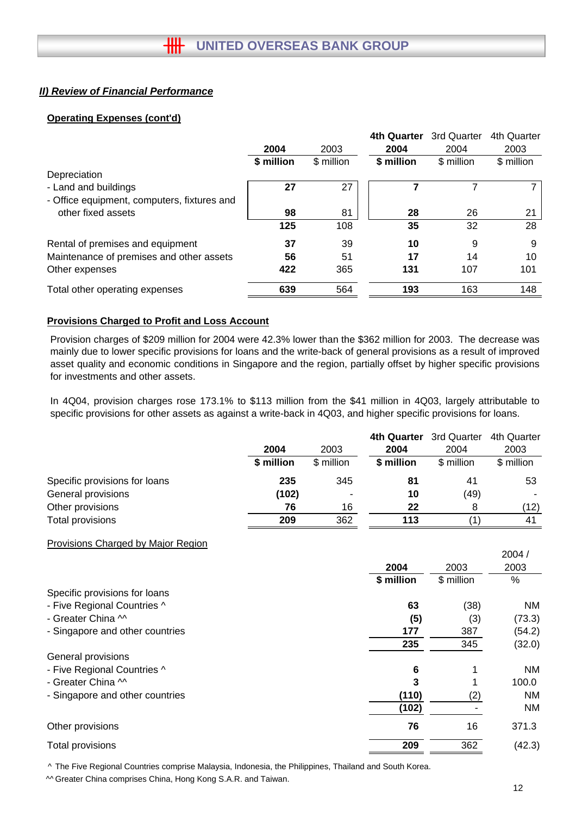# **Operating Expenses (cont'd)**

|                                             |            |            | <b>4th Quarter</b> | 3rd Quarter | 4th Quarter |
|---------------------------------------------|------------|------------|--------------------|-------------|-------------|
|                                             | 2004       | 2003       | 2004               | 2004        | 2003        |
|                                             | \$ million | \$ million | \$ million         | \$ million  | \$ million  |
| Depreciation                                |            |            |                    |             |             |
| - Land and buildings                        | 27         | 27         |                    |             |             |
| - Office equipment, computers, fixtures and |            |            |                    |             |             |
| other fixed assets                          | 98         | 81         | 28                 | 26          | 21          |
|                                             | 125        | 108        | 35                 | 32          | 28          |
| Rental of premises and equipment            | 37         | 39         | 10                 | 9           | 9           |
| Maintenance of premises and other assets    | 56         | 51         | 17                 | 14          | 10          |
| Other expenses                              | 422        | 365        | 131                | 107         | 101         |
| Total other operating expenses              | 639        | 564        | 193                | 163         | 148         |

# **Provisions Charged to Profit and Loss Account**

Provision charges of \$209 million for 2004 were 42.3% lower than the \$362 million for 2003. The decrease was mainly due to lower specific provisions for loans and the write-back of general provisions as a result of improved asset quality and economic conditions in Singapore and the region, partially offset by higher specific provisions for investments and other assets.

In 4Q04, provision charges rose 173.1% to \$113 million from the \$41 million in 4Q03, largely attributable to specific provisions for other assets as against a write-back in 4Q03, and higher specific provisions for loans.

|                               |            |            | 4th Quarter | 3rd Quarter | 4th Quarter |
|-------------------------------|------------|------------|-------------|-------------|-------------|
|                               | 2004       | 2003       | 2004        | 2004        | 2003        |
|                               | \$ million | \$ million | \$ million  | \$ million  | \$ million  |
| Specific provisions for loans | 235        | 345        | 81          | 41          | 53          |
| General provisions            | (102)      |            | 10          | (49)        |             |
| Other provisions              | 76         | 16         | 22          | 8           | (12)        |
| Total provisions              | 209        | 362        | 113         |             | 41          |

#### Provisions Charged by Major Region

|                                 |            |            | 2004/     |
|---------------------------------|------------|------------|-----------|
|                                 | 2004       | 2003       | 2003      |
|                                 | \$ million | \$ million | %         |
| Specific provisions for loans   |            |            |           |
| - Five Regional Countries ^     | 63         | (38)       | NM        |
| - Greater China M               | (5)        | (3)        | (73.3)    |
| - Singapore and other countries | 177        | 387        | (54.2)    |
|                                 | 235        | 345        | (32.0)    |
| General provisions              |            |            |           |
| - Five Regional Countries ^     | 6          | 1          | <b>NM</b> |
| - Greater China M               | 3          |            | 100.0     |
| - Singapore and other countries | (110)      | (2)        | <b>NM</b> |
|                                 | (102)      |            | <b>NM</b> |
| Other provisions                | 76         | 16         | 371.3     |
| Total provisions                | 209        | 362        | (42.3)    |
|                                 |            |            |           |

^ The Five Regional Countries comprise Malaysia, Indonesia, the Philippines, Thailand and South Korea.

^^ Greater China comprises China, Hong Kong S.A.R. and Taiwan.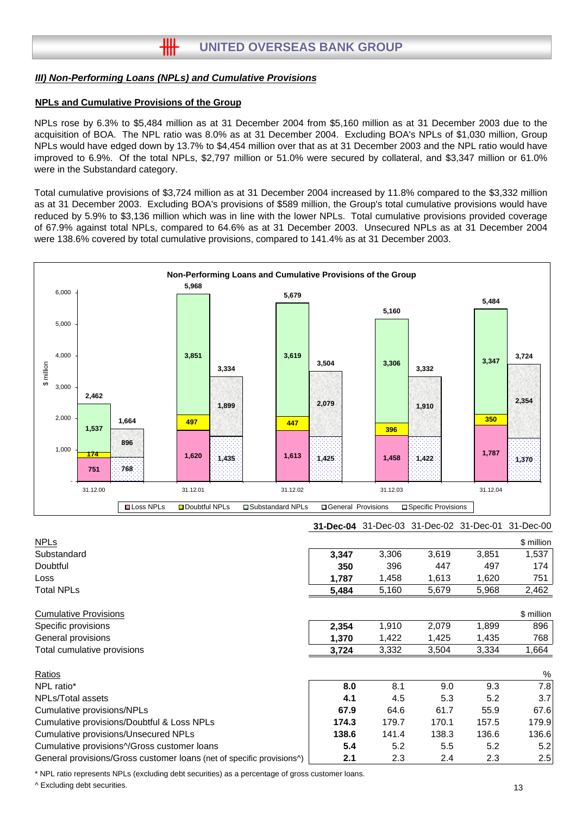#### **NPLs and Cumulative Provisions of the Group**

NPLs rose by 6.3% to \$5,484 million as at 31 December 2004 from \$5,160 million as at 31 December 2003 due to the acquisition of BOA. The NPL ratio was 8.0% as at 31 December 2004. Excluding BOA's NPLs of \$1,030 million, Group NPLs would have edged down by 13.7% to \$4,454 million over that as at 31 December 2003 and the NPL ratio would have improved to 6.9%. Of the total NPLs, \$2,797 million or 51.0% were secured by collateral, and \$3,347 million or 61.0% were in the Substandard category.

Total cumulative provisions of \$3,724 million as at 31 December 2004 increased by 11.8% compared to the \$3,332 million as at 31 December 2003. Excluding BOA's provisions of \$589 million, the Group's total cumulative provisions would have reduced by 5.9% to \$3,136 million which was in line with the lower NPLs. Total cumulative provisions provided coverage of 67.9% against total NPLs, compared to 64.6% as at 31 December 2003. Unsecured NPLs as at 31 December 2004 were 138.6% covered by total cumulative provisions, compared to 141.4% as at 31 December 2003.



\* NPL ratio represents NPLs (excluding debt securities) as a percentage of gross customer loans.

^ Excluding debt securities.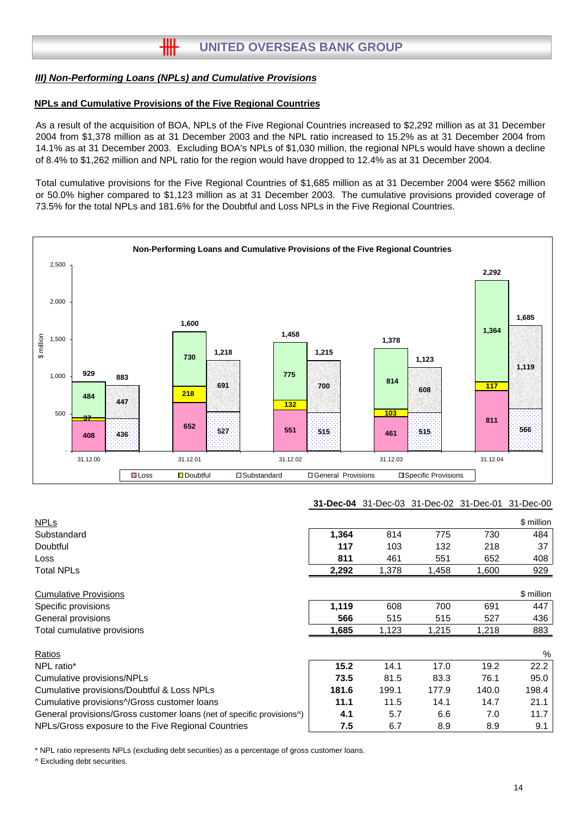#### **NPLs and Cumulative Provisions of the Five Regional Countries**

As a result of the acquisition of BOA, NPLs of the Five Regional Countries increased to \$2,292 million as at 31 December 2004 from \$1,378 million as at 31 December 2003 and the NPL ratio increased to 15.2% as at 31 December 2004 from 14.1% as at 31 December 2003. Excluding BOA's NPLs of \$1,030 million, the regional NPLs would have shown a decline of 8.4% to \$1,262 million and NPL ratio for the region would have dropped to 12.4% as at 31 December 2004.

Total cumulative provisions for the Five Regional Countries of \$1,685 million as at 31 December 2004 were \$562 million or 50.0% higher compared to \$1,123 million as at 31 December 2003. The cumulative provisions provided coverage of 73.5% for the total NPLs and 181.6% for the Doubtful and Loss NPLs in the Five Regional Countries.



#### **31-Dec-04** 31-Dec-03 31-Dec-02 31-Dec-01 31-Dec-00

| <b>NPLs</b>                                                           |       |       |       |       | \$ million |
|-----------------------------------------------------------------------|-------|-------|-------|-------|------------|
| Substandard                                                           | 1,364 | 814   | 775   | 730   | 484        |
| <b>Doubtful</b>                                                       | 117   | 103   | 132   | 218   | 37         |
| Loss                                                                  | 811   | 461   | 551   | 652   | 408        |
| <b>Total NPLs</b>                                                     | 2,292 | 1,378 | 1,458 | 1,600 | 929        |
| <b>Cumulative Provisions</b>                                          |       |       |       |       | \$ million |
| Specific provisions                                                   | 1,119 | 608   | 700   | 691   | 447        |
| General provisions                                                    | 566   | 515   | 515   | 527   | 436        |
| Total cumulative provisions                                           | 1,685 | 1,123 | 1,215 | 1,218 | 883        |
| Ratios                                                                |       |       |       |       | %          |
| NPL ratio*                                                            | 15.2  | 14.1  | 17.0  | 19.2  | 22.2       |
| Cumulative provisions/NPLs                                            | 73.5  | 81.5  | 83.3  | 76.1  | 95.0       |
| Cumulative provisions/Doubtful & Loss NPLs                            | 181.6 | 199.1 | 177.9 | 140.0 | 198.4      |
| Cumulative provisions^/Gross customer loans                           | 11.1  | 11.5  | 14.1  | 14.7  | 21.1       |
| General provisions/Gross customer loans (net of specific provisions^) | 4.1   | 5.7   | 6.6   | 7.0   | 11.7       |
| NPLs/Gross exposure to the Five Regional Countries                    | 7.5   | 6.7   | 8.9   | 8.9   | 9.1        |

\* NPL ratio represents NPLs (excluding debt securities) as a percentage of gross customer loans.

^ Excluding debt securities.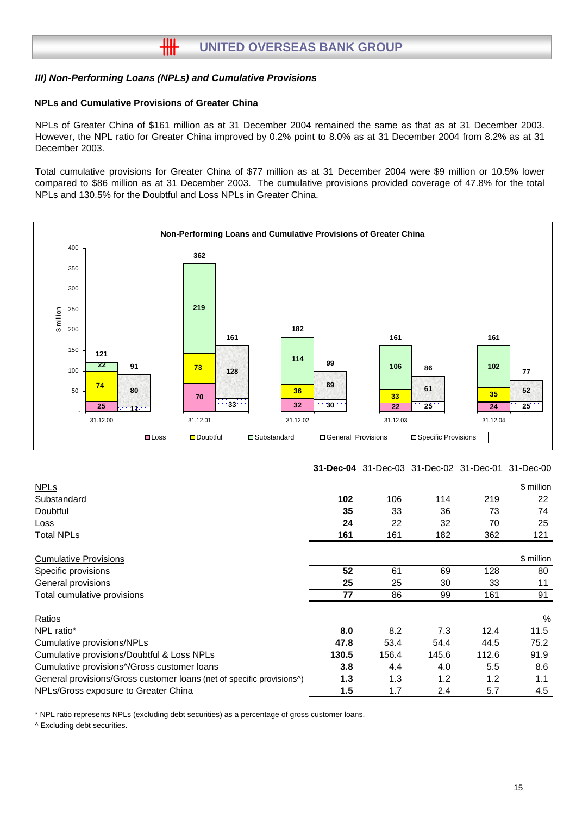#### **NPLs and Cumulative Provisions of Greater China**

NPLs of Greater China of \$161 million as at 31 December 2004 remained the same as that as at 31 December 2003. However, the NPL ratio for Greater China improved by 0.2% point to 8.0% as at 31 December 2004 from 8.2% as at 31 December 2003.

Total cumulative provisions for Greater China of \$77 million as at 31 December 2004 were \$9 million or 10.5% lower compared to \$86 million as at 31 December 2003. The cumulative provisions provided coverage of 47.8% for the total NPLs and 130.5% for the Doubtful and Loss NPLs in Greater China.



#### **31-Dec-04** 31-Dec-03 31-Dec-02 31-Dec-01 31-Dec-00

| <b>NPLs</b>                                                           |       |       |       |       | \$ million |
|-----------------------------------------------------------------------|-------|-------|-------|-------|------------|
| Substandard                                                           | 102   | 106   | 114   | 219   | 22         |
| Doubtful                                                              | 35    | 33    | 36    | 73    | 74         |
| Loss                                                                  | 24    | 22    | 32    | 70    | 25         |
| Total NPLs                                                            | 161   | 161   | 182   | 362   | 121        |
| <b>Cumulative Provisions</b>                                          |       |       |       |       | \$ million |
| Specific provisions                                                   | 52    | 61    | 69    | 128   | 80         |
| General provisions                                                    | 25    | 25    | 30    | 33    | 11         |
| Total cumulative provisions                                           | 77    | 86    | 99    | 161   | 91         |
| Ratios                                                                |       |       |       |       | %          |
| NPL ratio*                                                            | 8.0   | 8.2   | 7.3   | 12.4  | 11.5       |
| Cumulative provisions/NPLs                                            | 47.8  | 53.4  | 54.4  | 44.5  | 75.2       |
| Cumulative provisions/Doubtful & Loss NPLs                            | 130.5 | 156.4 | 145.6 | 112.6 | 91.9       |
| Cumulative provisions^/Gross customer loans                           | 3.8   | 4.4   | 4.0   | 5.5   | 8.6        |
| General provisions/Gross customer loans (net of specific provisions^) | 1.3   | 1.3   | 1.2   | 1.2   | 1.1        |
| NPLs/Gross exposure to Greater China                                  | 1.5   | 1.7   | 2.4   | 5.7   | 4.5        |

\* NPL ratio represents NPLs (excluding debt securities) as a percentage of gross customer loans.

^ Excluding debt securities.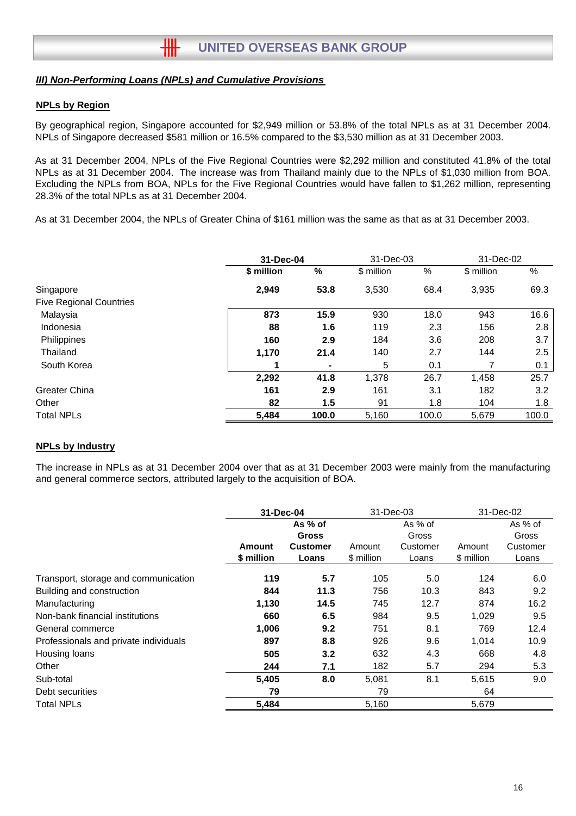# **NPLs by Region**

By geographical region, Singapore accounted for \$2,949 million or 53.8% of the total NPLs as at 31 December 2004. NPLs of Singapore decreased \$581 million or 16.5% compared to the \$3,530 million as at 31 December 2003.

As at 31 December 2004, NPLs of the Five Regional Countries were \$2,292 million and constituted 41.8% of the total NPLs as at 31 December 2004. The increase was from Thailand mainly due to the NPLs of \$1,030 million from BOA. Excluding the NPLs from BOA, NPLs for the Five Regional Countries would have fallen to \$1,262 million, representing 28.3% of the total NPLs as at 31 December 2004.

As at 31 December 2004, the NPLs of Greater China of \$161 million was the same as that as at 31 December 2003.

|                                | 31-Dec-04  |       | 31-Dec-03  |       | 31-Dec-02  |       |
|--------------------------------|------------|-------|------------|-------|------------|-------|
|                                | \$ million | %     | \$ million | %     | \$ million | %     |
| Singapore                      | 2,949      | 53.8  | 3,530      | 68.4  | 3,935      | 69.3  |
| <b>Five Regional Countries</b> |            |       |            |       |            |       |
| Malaysia                       | 873        | 15.9  | 930        | 18.0  | 943        | 16.6  |
| Indonesia                      | 88         | 1.6   | 119        | 2.3   | 156        | 2.8   |
| Philippines                    | 160        | 2.9   | 184        | 3.6   | 208        | 3.7   |
| Thailand                       | 1,170      | 21.4  | 140        | 2.7   | 144        | 2.5   |
| South Korea                    |            | ۰     | 5          | 0.1   |            | 0.1   |
|                                | 2,292      | 41.8  | 1,378      | 26.7  | 1,458      | 25.7  |
| Greater China                  | 161        | 2.9   | 161        | 3.1   | 182        | 3.2   |
| Other                          | 82         | 1.5   | 91         | 1.8   | 104        | 1.8   |
| <b>Total NPLs</b>              | 5.484      | 100.0 | 5.160      | 100.0 | 5.679      | 100.0 |

#### **NPLs by Industry**

The increase in NPLs as at 31 December 2004 over that as at 31 December 2003 were mainly from the manufacturing and general commerce sectors, attributed largely to the acquisition of BOA.

|                                       | 31-Dec-04  |                 |            | 31-Dec-03 |            | 31-Dec-02 |  |
|---------------------------------------|------------|-----------------|------------|-----------|------------|-----------|--|
|                                       |            | As % of         |            | As % of   |            | As % of   |  |
|                                       |            | <b>Gross</b>    |            | Gross     |            | Gross     |  |
|                                       | Amount     | <b>Customer</b> | Amount     | Customer  | Amount     | Customer  |  |
|                                       | \$ million | Loans           | \$ million | Loans     | \$ million | Loans     |  |
| Transport, storage and communication  | 119        | 5.7             | 105        | 5.0       | 124        | 6.0       |  |
| Building and construction             | 844        | 11.3            | 756        | 10.3      | 843        | 9.2       |  |
| Manufacturing                         | 1,130      | 14.5            | 745        | 12.7      | 874        | 16.2      |  |
| Non-bank financial institutions       | 660        | 6.5             | 984        | 9.5       | 1,029      | 9.5       |  |
| General commerce                      | 1.006      | 9.2             | 751        | 8.1       | 769        | 12.4      |  |
| Professionals and private individuals | 897        | 8.8             | 926        | 9.6       | 1,014      | 10.9      |  |
| Housing loans                         | 505        | 3.2             | 632        | 4.3       | 668        | 4.8       |  |
| Other                                 | 244        | 7.1             | 182        | 5.7       | 294        | 5.3       |  |
| Sub-total                             | 5,405      | 8.0             | 5,081      | 8.1       | 5,615      | 9.0       |  |
| Debt securities                       | 79         |                 | 79         |           | 64         |           |  |
| <b>Total NPLs</b>                     | 5,484      |                 | 5,160      |           | 5,679      |           |  |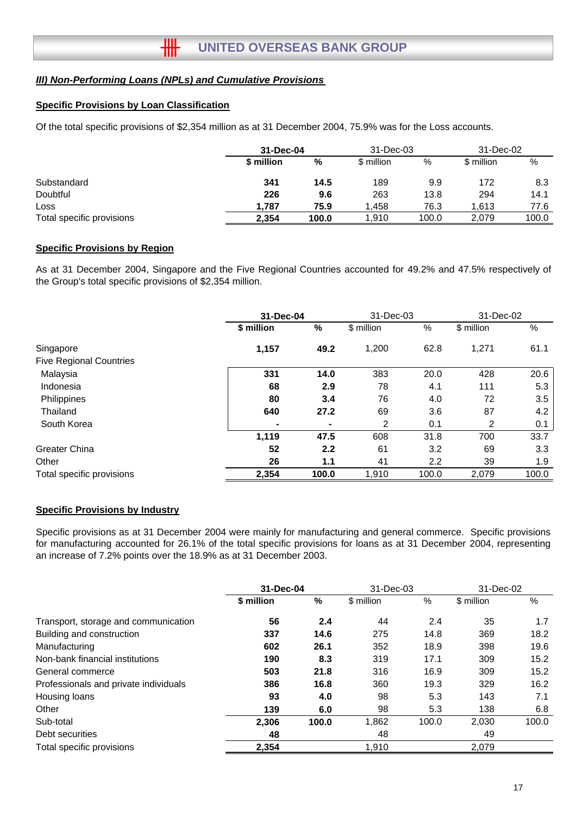#### **Specific Provisions by Loan Classification**

Of the total specific provisions of \$2,354 million as at 31 December 2004, 75.9% was for the Loss accounts.

|                           | 31-Dec-04  |       | 31-Dec-03  |       | 31-Dec-02  |       |
|---------------------------|------------|-------|------------|-------|------------|-------|
|                           | \$ million | %     | \$ million | %     | \$ million | %     |
| Substandard               | 341        | 14.5  | 189        | 9.9   | 172        | 8.3   |
| Doubtful                  | 226        | 9.6   | 263        | 13.8  | 294        | 14.1  |
| Loss                      | 1.787      | 75.9  | 1.458      | 76.3  | 1.613      | 77.6  |
| Total specific provisions | 2.354      | 100.0 | 1,910      | 100.0 | 2,079      | 100.0 |

#### **Specific Provisions by Region**

As at 31 December 2004, Singapore and the Five Regional Countries accounted for 49.2% and 47.5% respectively of the Group's total specific provisions of \$2,354 million.

|                                | 31-Dec-04  |       | 31-Dec-03  |       | 31-Dec-02  |       |
|--------------------------------|------------|-------|------------|-------|------------|-------|
|                                | \$ million | %     | \$ million | %     | \$ million | %     |
| Singapore                      | 1,157      | 49.2  | 1,200      | 62.8  | 1,271      | 61.1  |
| <b>Five Regional Countries</b> |            |       |            |       |            |       |
| Malaysia                       | 331        | 14.0  | 383        | 20.0  | 428        | 20.6  |
| Indonesia                      | 68         | 2.9   | 78         | 4.1   | 111        | 5.3   |
| Philippines                    | 80         | 3.4   | 76         | 4.0   | 72         | 3.5   |
| Thailand                       | 640        | 27.2  | 69         | 3.6   | 87         | 4.2   |
| South Korea                    |            | ٠     | 2          | 0.1   | 2          | 0.1   |
|                                | 1,119      | 47.5  | 608        | 31.8  | 700        | 33.7  |
| Greater China                  | 52         | 2.2   | 61         | 3.2   | 69         | 3.3   |
| Other                          | 26         | 1.1   | 41         | 2.2   | 39         | 1.9   |
| Total specific provisions      | 2,354      | 100.0 | 1,910      | 100.0 | 2,079      | 100.0 |

#### **Specific Provisions by Industry**

Specific provisions as at 31 December 2004 were mainly for manufacturing and general commerce. Specific provisions for manufacturing accounted for 26.1% of the total specific provisions for loans as at 31 December 2004, representing an increase of 7.2% points over the 18.9% as at 31 December 2003.

|                                       | 31-Dec-04  |       | 31-Dec-03  |       | 31-Dec-02  |       |
|---------------------------------------|------------|-------|------------|-------|------------|-------|
|                                       | \$ million | %     | \$ million | %     | \$ million | %     |
| Transport, storage and communication  | 56         | 2.4   | 44         | 2.4   | 35         | 1.7   |
| Building and construction             | 337        | 14.6  | 275        | 14.8  | 369        | 18.2  |
| Manufacturing                         | 602        | 26.1  | 352        | 18.9  | 398        | 19.6  |
| Non-bank financial institutions       | 190        | 8.3   | 319        | 17.1  | 309        | 15.2  |
| General commerce                      | 503        | 21.8  | 316        | 16.9  | 309        | 15.2  |
| Professionals and private individuals | 386        | 16.8  | 360        | 19.3  | 329        | 16.2  |
| Housing loans                         | 93         | 4.0   | 98         | 5.3   | 143        | 7.1   |
| Other                                 | 139        | 6.0   | 98         | 5.3   | 138        | 6.8   |
| Sub-total                             | 2,306      | 100.0 | 1,862      | 100.0 | 2.030      | 100.0 |
| Debt securities                       | 48         |       | 48         |       | 49         |       |
| Total specific provisions             | 2,354      |       | 1,910      |       | 2,079      |       |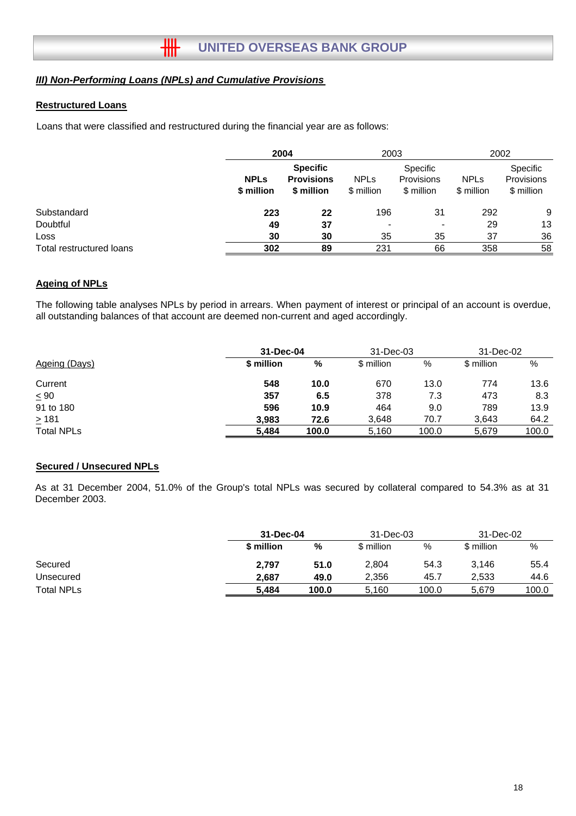#### **Restructured Loans**

Loans that were classified and restructured during the financial year are as follows:

|                          |                           | 2004                                               |                           | 2003                                 |                           | 2002                                        |  |
|--------------------------|---------------------------|----------------------------------------------------|---------------------------|--------------------------------------|---------------------------|---------------------------------------------|--|
|                          | <b>NPLs</b><br>\$ million | <b>Specific</b><br><b>Provisions</b><br>\$ million | <b>NPLs</b><br>\$ million | Specific<br>Provisions<br>\$ million | <b>NPLs</b><br>\$ million | <b>Specific</b><br>Provisions<br>\$ million |  |
| Substandard              | 223                       | 22                                                 | 196                       | 31                                   | 292                       | 9                                           |  |
| Doubtful                 | 49                        | 37                                                 | $\blacksquare$            | $\blacksquare$                       | 29                        | 13                                          |  |
| Loss                     | 30                        | 30                                                 | 35                        | 35                                   | 37                        | 36                                          |  |
| Total restructured loans | 302                       | 89                                                 | 231                       | 66                                   | 358                       | 58                                          |  |

#### **Ageing of NPLs**

The following table analyses NPLs by period in arrears. When payment of interest or principal of an account is overdue, all outstanding balances of that account are deemed non-current and aged accordingly.

|                   | 31-Dec-04  |       | 31-Dec-03  | 31-Dec-02 |            |       |
|-------------------|------------|-------|------------|-----------|------------|-------|
| Ageing (Days)     | \$ million | %     | \$ million | %         | \$ million | %     |
| Current           | 548        | 10.0  | 670        | 13.0      | 774        | 13.6  |
| $\leq 90$         | 357        | 6.5   | 378        | 7.3       | 473        | 8.3   |
| 91 to 180         | 596        | 10.9  | 464        | 9.0       | 789        | 13.9  |
| $\geq 181$        | 3,983      | 72.6  | 3,648      | 70.7      | 3,643      | 64.2  |
| <b>Total NPLs</b> | 5.484      | 100.0 | 5,160      | 100.0     | 5,679      | 100.0 |

#### **Secured / Unsecured NPLs**

As at 31 December 2004, 51.0% of the Group's total NPLs was secured by collateral compared to 54.3% as at 31 December 2003.

|                   |            | 31-Dec-04 |            | 31-Dec-03 |            | 31-Dec-02 |  |
|-------------------|------------|-----------|------------|-----------|------------|-----------|--|
|                   | \$ million | %         | \$ million | %         | \$ million | %         |  |
| Secured           | 2,797      | 51.0      | 2,804      | 54.3      | 3,146      | 55.4      |  |
| Unsecured         | 2.687      | 49.0      | 2.356      | 45.7      | 2.533      | 44.6      |  |
| <b>Total NPLs</b> | 5.484      | 100.0     | 5.160      | 100.0     | 5.679      | 100.0     |  |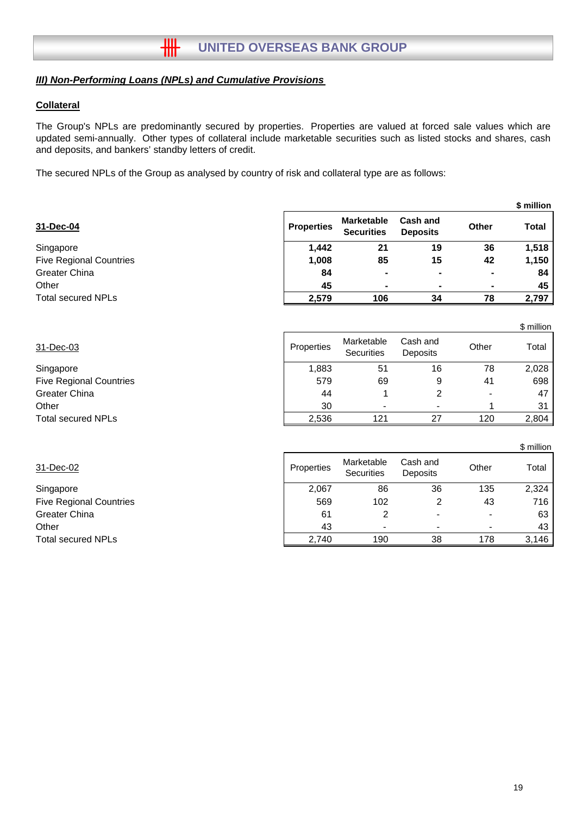### **Collateral**

The Group's NPLs are predominantly secured by properties. Properties are valued at forced sale values which are updated semi-annually. Other types of collateral include marketable securities such as listed stocks and shares, cash and deposits, and bankers' standby letters of credit.

The secured NPLs of the Group as analysed by country of risk and collateral type are as follows:

|                   |                                        |                                    |              | \$ million   |
|-------------------|----------------------------------------|------------------------------------|--------------|--------------|
| <b>Properties</b> | <b>Marketable</b><br><b>Securities</b> | <b>Cash and</b><br><b>Deposits</b> | <b>Other</b> | <b>Total</b> |
| 1,442             | 21                                     | 19                                 | 36           | 1,518        |
| 1,008             | 85                                     | 15                                 | 42           | 1,150        |
| 84                | $\blacksquare$                         | ٠                                  | ۰            | 84           |
| 45                | ٠                                      | $\blacksquare$                     |              | 45           |
| 2,579             | 106                                    | 34                                 | 78           | 2,797        |
|                   |                                        |                                    |              |              |

|                                |            |                          |                      |       | \$ million      |
|--------------------------------|------------|--------------------------|----------------------|-------|-----------------|
| 31-Dec-03                      | Properties | Marketable<br>Securities | Cash and<br>Deposits | Other | Total           |
| Singapore                      | 1,883      | 51                       | 16                   | 78    | 2,028           |
| <b>Five Regional Countries</b> | 579        | 69                       | 9                    | 41    | 698             |
| Greater China                  | 44         |                          | 2                    |       | 47              |
| Other                          | 30         | $\blacksquare$           |                      |       | 31 <sup>1</sup> |
| <b>Total secured NPLs</b>      | 2,536      | 121                      | 27                   | 120   | 2,804           |

| 31-Dec-02                      | Properties | Marketable<br><b>Securities</b> | Cash and<br><b>Deposits</b> | Other | Total |
|--------------------------------|------------|---------------------------------|-----------------------------|-------|-------|
| Singapore                      | 2,067      | 86                              | 36                          | 135   | 2,324 |
| <b>Five Regional Countries</b> | 569        | 102                             |                             | 43    | 716 I |
| Greater China                  | 61         |                                 |                             |       | 63 I  |
| Other                          | 43         | $\blacksquare$                  | -                           |       | 43    |
| <b>Total secured NPLs</b>      | 2.740      | 190                             | 38                          | 178   | 3,146 |

\$ million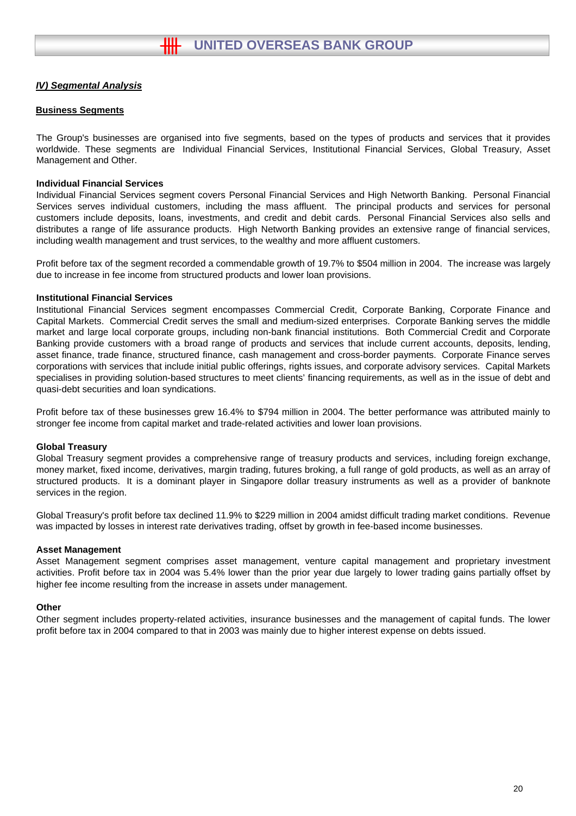#### **Business Segments**

The Group's businesses are organised into five segments, based on the types of products and services that it provides worldwide. These segments are Individual Financial Services, Institutional Financial Services, Global Treasury, Asset Management and Other.

#### **Individual Financial Services**

Individual Financial Services segment covers Personal Financial Services and High Networth Banking. Personal Financial Services serves individual customers, including the mass affluent. The principal products and services for personal customers include deposits, loans, investments, and credit and debit cards. Personal Financial Services also sells and distributes a range of life assurance products. High Networth Banking provides an extensive range of financial services, including wealth management and trust services, to the wealthy and more affluent customers.

Profit before tax of the segment recorded a commendable growth of 19.7% to \$504 million in 2004. The increase was largely due to increase in fee income from structured products and lower loan provisions.

#### **Institutional Financial Services**

Institutional Financial Services segment encompasses Commercial Credit, Corporate Banking, Corporate Finance and Capital Markets. Commercial Credit serves the small and medium-sized enterprises. Corporate Banking serves the middle market and large local corporate groups, including non-bank financial institutions. Both Commercial Credit and Corporate Banking provide customers with a broad range of products and services that include current accounts, deposits, lending, asset finance, trade finance, structured finance, cash management and cross-border payments. Corporate Finance serves corporations with services that include initial public offerings, rights issues, and corporate advisory services. Capital Markets specialises in providing solution-based structures to meet clients' financing requirements, as well as in the issue of debt and quasi-debt securities and loan syndications.

Profit before tax of these businesses grew 16.4% to \$794 million in 2004. The better performance was attributed mainly to stronger fee income from capital market and trade-related activities and lower loan provisions.

#### **Global Treasury**

Global Treasury segment provides a comprehensive range of treasury products and services, including foreign exchange, money market, fixed income, derivatives, margin trading, futures broking, a full range of gold products, as well as an array of structured products. It is a dominant player in Singapore dollar treasury instruments as well as a provider of banknote services in the region.

Global Treasury's profit before tax declined 11.9% to \$229 million in 2004 amidst difficult trading market conditions. Revenue was impacted by losses in interest rate derivatives trading, offset by growth in fee-based income businesses.

#### **Asset Management**

Asset Management segment comprises asset management, venture capital management and proprietary investment activities. Profit before tax in 2004 was 5.4% lower than the prior year due largely to lower trading gains partially offset by higher fee income resulting from the increase in assets under management.

#### **Other**

Other segment includes property-related activities, insurance businesses and the management of capital funds. The lower profit before tax in 2004 compared to that in 2003 was mainly due to higher interest expense on debts issued.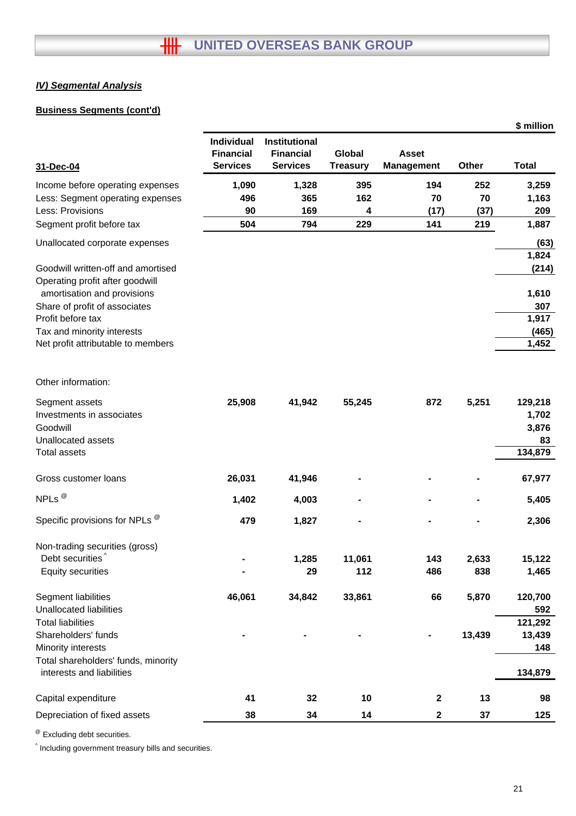# **Business Segments (cont'd)**

|                                                                       |                                                   |                                                             |                           |                                   |        | \$ million       |
|-----------------------------------------------------------------------|---------------------------------------------------|-------------------------------------------------------------|---------------------------|-----------------------------------|--------|------------------|
| 31-Dec-04                                                             | Individual<br><b>Financial</b><br><b>Services</b> | <b>Institutional</b><br><b>Financial</b><br><b>Services</b> | Global<br><b>Treasury</b> | <b>Asset</b><br><b>Management</b> | Other  | <b>Total</b>     |
| Income before operating expenses                                      | 1,090                                             | 1,328                                                       | 395                       | 194                               | 252    | 3,259            |
| Less: Segment operating expenses                                      | 496                                               | 365                                                         | 162                       | 70                                | 70     | 1,163            |
| Less: Provisions                                                      | 90                                                | 169                                                         | 4                         | (17)                              | (37)   | 209              |
| Segment profit before tax                                             | 504                                               | 794                                                         | 229                       | 141                               | 219    | 1,887            |
| Unallocated corporate expenses                                        |                                                   |                                                             |                           |                                   |        | (63)             |
| Goodwill written-off and amortised<br>Operating profit after goodwill |                                                   |                                                             |                           |                                   |        | 1,824<br>(214)   |
| amortisation and provisions                                           |                                                   |                                                             |                           |                                   |        | 1,610            |
| Share of profit of associates                                         |                                                   |                                                             |                           |                                   |        | 307              |
| Profit before tax                                                     |                                                   |                                                             |                           |                                   |        | 1,917            |
| Tax and minority interests                                            |                                                   |                                                             |                           |                                   |        | (465)            |
| Net profit attributable to members                                    |                                                   |                                                             |                           |                                   |        | 1,452            |
| Other information:                                                    |                                                   |                                                             |                           |                                   |        |                  |
| Segment assets<br>Investments in associates                           | 25,908                                            | 41,942                                                      | 55,245                    | 872                               | 5,251  | 129,218<br>1,702 |
| Goodwill                                                              |                                                   |                                                             |                           |                                   |        | 3,876            |
| Unallocated assets                                                    |                                                   |                                                             |                           |                                   |        | 83               |
| <b>Total assets</b>                                                   |                                                   |                                                             |                           |                                   |        | 134,879          |
| Gross customer loans                                                  | 26,031                                            | 41,946                                                      |                           |                                   |        | 67,977           |
| NPLs <sup>@</sup>                                                     | 1,402                                             | 4,003                                                       |                           |                                   |        | 5,405            |
| Specific provisions for NPLs ®                                        | 479                                               | 1,827                                                       |                           |                                   |        | 2,306            |
| Non-trading securities (gross)                                        |                                                   |                                                             |                           |                                   |        |                  |
| Debt securities <sup>^</sup>                                          |                                                   | 1,285                                                       | 11,061                    | 143                               | 2,633  | 15,122           |
| <b>Equity securities</b>                                              |                                                   | 29                                                          | 112                       | 486                               | 838    | 1,465            |
| Segment liabilities                                                   | 46,061                                            | 34,842                                                      | 33,861                    | 66                                | 5,870  | 120,700          |
| <b>Unallocated liabilities</b>                                        |                                                   |                                                             |                           |                                   |        | 592              |
| <b>Total liabilities</b>                                              |                                                   |                                                             |                           |                                   |        | 121,292          |
| Shareholders' funds                                                   |                                                   |                                                             |                           |                                   | 13,439 | 13,439           |
| Minority interests                                                    |                                                   |                                                             |                           |                                   |        | 148              |
| Total shareholders' funds, minority<br>interests and liabilities      |                                                   |                                                             |                           |                                   |        | 134,879          |
| Capital expenditure                                                   | 41                                                | 32                                                          | 10                        | $\boldsymbol{2}$                  | 13     | 98               |
| Depreciation of fixed assets                                          | 38                                                | 34                                                          | 14                        | $\mathbf 2$                       | 37     | 125              |
|                                                                       |                                                   |                                                             |                           |                                   |        |                  |

@ Excluding debt securities.

^ Including government treasury bills and securities.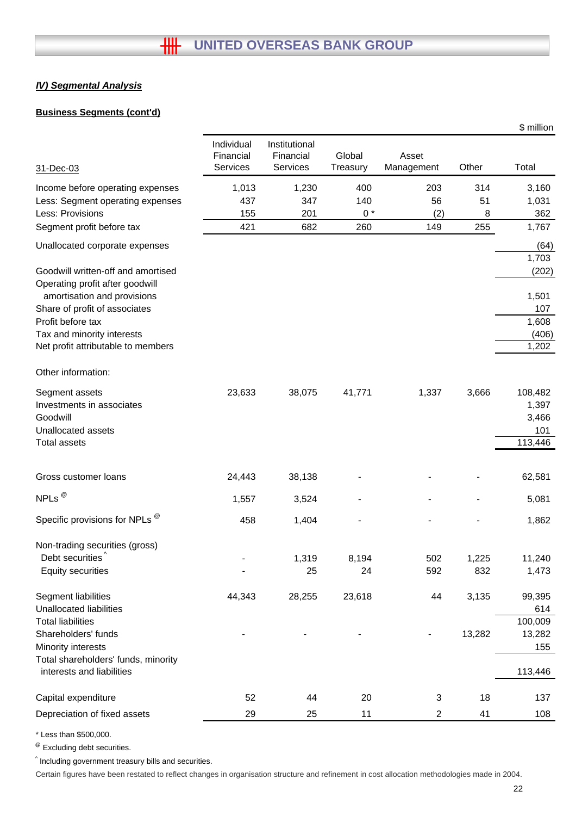# **Business Segments (cont'd)**

|                                                                               |                                            |                                        |                    |                     |              | \$ million                       |
|-------------------------------------------------------------------------------|--------------------------------------------|----------------------------------------|--------------------|---------------------|--------------|----------------------------------|
| 31-Dec-03                                                                     | Individual<br>Financial<br><b>Services</b> | Institutional<br>Financial<br>Services | Global<br>Treasury | Asset<br>Management | Other        | Total                            |
| Income before operating expenses                                              | 1,013                                      | 1,230                                  | 400                | 203                 | 314          | 3,160                            |
| Less: Segment operating expenses                                              | 437                                        | 347                                    | 140                | 56                  | 51           | 1,031                            |
| Less: Provisions                                                              | 155                                        | 201                                    | $0*$               | (2)                 | 8            | 362                              |
| Segment profit before tax                                                     | 421                                        | 682                                    | 260                | 149                 | 255          | 1,767                            |
| Unallocated corporate expenses                                                |                                            |                                        |                    |                     |              | (64)                             |
| Goodwill written-off and amortised<br>Operating profit after goodwill         |                                            |                                        |                    |                     |              | 1,703<br>(202)                   |
| amortisation and provisions<br>Share of profit of associates                  |                                            |                                        |                    |                     |              | 1,501<br>107                     |
| Profit before tax                                                             |                                            |                                        |                    |                     |              | 1,608                            |
| Tax and minority interests<br>Net profit attributable to members              |                                            |                                        |                    |                     |              | (406)<br>1,202                   |
| Other information:                                                            |                                            |                                        |                    |                     |              |                                  |
| Segment assets<br>Investments in associates<br>Goodwill<br>Unallocated assets | 23,633                                     | 38,075                                 | 41,771             | 1,337               | 3,666        | 108,482<br>1,397<br>3,466<br>101 |
| <b>Total assets</b>                                                           |                                            |                                        |                    |                     |              | 113,446                          |
| Gross customer loans                                                          | 24,443                                     | 38,138                                 |                    |                     |              | 62,581                           |
| NPLs $^{\circledR}$                                                           | 1,557                                      | 3,524                                  |                    |                     |              | 5,081                            |
| Specific provisions for NPLs ®                                                | 458                                        | 1,404                                  |                    |                     |              | 1,862                            |
| Non-trading securities (gross)                                                |                                            |                                        |                    |                     |              |                                  |
| Debt securities <sup>^</sup><br><b>Equity securities</b>                      |                                            | 1,319<br>25                            | 8,194<br>24        | 502<br>592          | 1,225<br>832 | 11,240<br>1,473                  |
| Segment liabilities                                                           | 44,343                                     | 28,255                                 | 23,618             | 44                  | 3,135        | 99,395                           |
| <b>Unallocated liabilities</b>                                                |                                            |                                        |                    |                     |              | 614                              |
| <b>Total liabilities</b><br>Shareholders' funds                               |                                            |                                        |                    |                     | 13,282       | 100,009<br>13,282                |
| Minority interests                                                            |                                            |                                        |                    |                     |              | 155                              |
| Total shareholders' funds, minority<br>interests and liabilities              |                                            |                                        |                    |                     |              | 113,446                          |
| Capital expenditure                                                           | 52                                         | 44                                     | 20                 | 3                   | 18           | 137                              |
| Depreciation of fixed assets                                                  | 29                                         | 25                                     | 11                 | 2                   | 41           | 108                              |

\* Less than \$500,000.

@ Excluding debt securities.

^ Including government treasury bills and securities.

Certain figures have been restated to reflect changes in organisation structure and refinement in cost allocation methodologies made in 2004.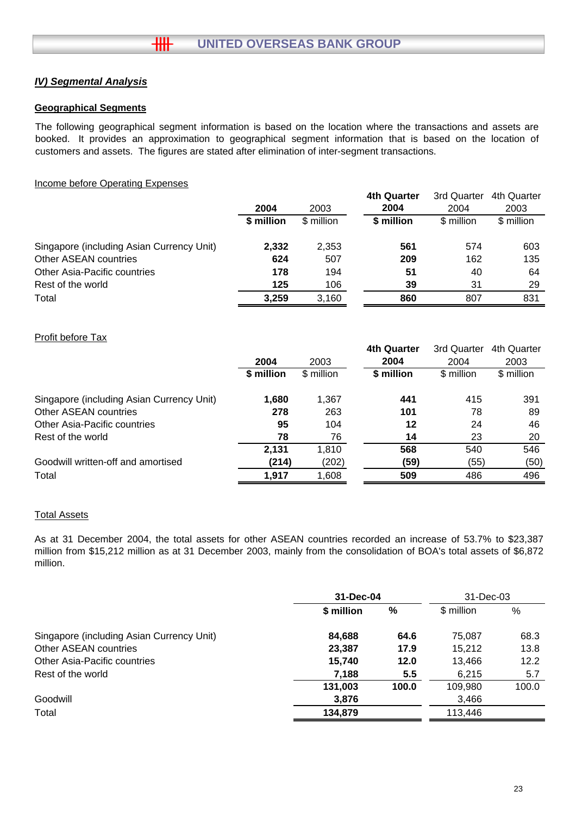$H\!H$ 

# **Geographical Segments**

The following geographical segment information is based on the location where the transactions and assets are booked. It provides an approximation to geographical segment information that is based on the location of customers and assets. The figures are stated after elimination of inter-segment transactions.

### Income before Operating Expenses

|                                           |            |            | <b>4th Quarter</b> | 3rd Quarter | 4th Quarter |
|-------------------------------------------|------------|------------|--------------------|-------------|-------------|
|                                           | 2004       | 2003       | 2004               | 2004        | 2003        |
|                                           | \$ million | \$ million | \$ million         | \$ million  | \$ million  |
| Singapore (including Asian Currency Unit) | 2,332      | 2,353      | 561                | 574         | 603         |
| Other ASEAN countries                     | 624        | 507        | 209                | 162         | 135         |
| <b>Other Asia-Pacific countries</b>       | 178        | 194        | 51                 | 40          | 64          |
| Rest of the world                         | 125        | 106        | 39                 | 31          | 29          |
| Total                                     | 3.259      | 3,160      | 860                | 807         | 831         |

# Profit before Tax

|                                           |            |            | <b>4th Quarter</b> | 3rd Quarter | 4th Quarter |
|-------------------------------------------|------------|------------|--------------------|-------------|-------------|
|                                           | 2004       | 2003       | 2004               | 2004        | 2003        |
|                                           | \$ million | \$ million | \$ million         | \$ million  | \$ million  |
| Singapore (including Asian Currency Unit) | 1,680      | 1,367      | 441                | 415         | 391         |
| Other ASEAN countries                     | 278        | 263        | 101                | 78          | 89          |
| Other Asia-Pacific countries              | 95         | 104        | 12                 | 24          | 46          |
| Rest of the world                         | 78         | 76         | 14                 | 23          | 20          |
|                                           | 2,131      | 1,810      | 568                | 540         | 546         |
| Goodwill written-off and amortised        | (214)      | (202)      | (59)               | (55)        | (50)        |
| Total                                     | 1.917      | 1,608      | 509                | 486         | 496         |

#### Total Assets

As at 31 December 2004, the total assets for other ASEAN countries recorded an increase of 53.7% to \$23,387 million from \$15,212 million as at 31 December 2003, mainly from the consolidation of BOA's total assets of \$6,872 million.

|                                           | 31-Dec-04  |       | 31-Dec-03  |       |
|-------------------------------------------|------------|-------|------------|-------|
|                                           | \$ million | %     | \$ million | %     |
| Singapore (including Asian Currency Unit) | 84,688     | 64.6  | 75,087     | 68.3  |
| Other ASEAN countries                     | 23,387     | 17.9  | 15.212     | 13.8  |
| <b>Other Asia-Pacific countries</b>       | 15,740     | 12.0  | 13,466     | 12.2  |
| Rest of the world                         | 7,188      | 5.5   | 6,215      | 5.7   |
|                                           | 131,003    | 100.0 | 109,980    | 100.0 |
| Goodwill                                  | 3,876      |       | 3,466      |       |
| Total                                     | 134,879    |       | 113,446    |       |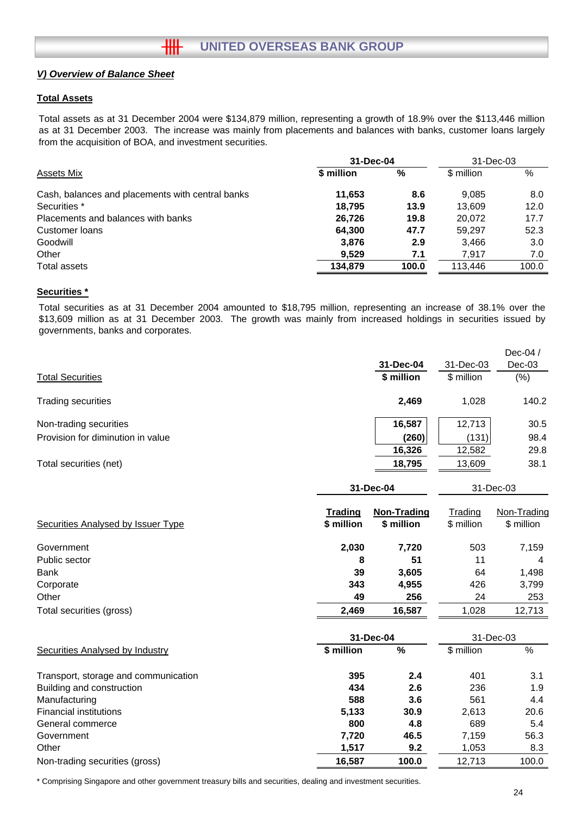#### **Total Assets**

Total assets as at 31 December 2004 were \$134,879 million, representing a growth of 18.9% over the \$113,446 million as at 31 December 2003. The increase was mainly from placements and balances with banks, customer loans largely from the acquisition of BOA, and investment securities.

|            | 31-Dec-03 |            |       |
|------------|-----------|------------|-------|
| \$ million | %         | \$ million | $\%$  |
| 11,653     | 8.6       | 9.085      | 8.0   |
| 18.795     | 13.9      | 13.609     | 12.0  |
| 26,726     | 19.8      | 20.072     | 17.7  |
| 64,300     | 47.7      | 59.297     | 52.3  |
| 3.876      | 2.9       | 3.466      | 3.0   |
| 9.529      | 7.1       | 7.917      | 7.0   |
| 134.879    | 100.0     | 113.446    | 100.0 |
|            |           | 31-Dec-04  |       |

#### **Securities \***

Total securities as at 31 December 2004 amounted to \$18,795 million, representing an increase of 38.1% over the \$13,609 million as at 31 December 2003. The growth was mainly from increased holdings in securities issued by governments, banks and corporates.

|                                        |                       | 31-Dec-04                        | 31-Dec-03             | Dec-04 /<br>$Dec-03$      |
|----------------------------------------|-----------------------|----------------------------------|-----------------------|---------------------------|
| <b>Total Securities</b>                |                       | \$ million                       | \$ million            | (% )                      |
| <b>Trading securities</b>              |                       | 2,469                            | 1,028                 | 140.2                     |
| Non-trading securities                 |                       | 16,587                           | 12,713                | 30.5                      |
| Provision for diminution in value      |                       | (260)                            | (131)                 | 98.4                      |
|                                        |                       | 16,326                           | 12,582                | 29.8                      |
| Total securities (net)                 |                       | 18,795                           | 13,609                | 38.1                      |
|                                        |                       | 31-Dec-04                        | 31-Dec-03             |                           |
| Securities Analysed by Issuer Type     | Trading<br>\$ million | <b>Non-Trading</b><br>\$ million | Trading<br>\$ million | Non-Trading<br>\$ million |
| Government                             | 2,030                 | 7,720                            | 503                   | 7,159                     |
| Public sector                          | 8                     | 51                               | 11                    | 4                         |
| <b>Bank</b>                            | 39                    | 3,605                            | 64                    | 1,498                     |
| Corporate                              | 343                   | 4,955                            | 426                   | 3,799                     |
| Other                                  | 49                    | 256                              | 24                    | 253                       |
| Total securities (gross)               | 2,469                 | 16,587                           | 1,028                 | 12,713                    |
|                                        |                       | 31-Dec-04                        |                       | 31-Dec-03                 |
| <b>Securities Analysed by Industry</b> | \$ million            | $\%$                             | \$ million            | $\%$                      |
| Transport, storage and communication   | 395                   | 2.4                              | 401                   | 3.1                       |
| Building and construction              | 434                   | 2.6                              | 236                   | 1.9                       |
| Manufacturing                          | 588                   | 3.6                              | 561                   | 4.4                       |
| <b>Financial institutions</b>          | 5,133                 | 30.9                             | 2,613                 | 20.6                      |
| General commerce                       | 800                   | 4.8                              | 689                   | 5.4                       |
| Government                             | 7,720                 | 46.5                             | 7,159                 | 56.3                      |
| Other                                  | 1,517                 | 9.2                              | 1,053                 | 8.3                       |
| Non-trading securities (gross)         | 16,587                | 100.0                            | 12,713                | 100.0                     |

\* Comprising Singapore and other government treasury bills and securities, dealing and investment securities.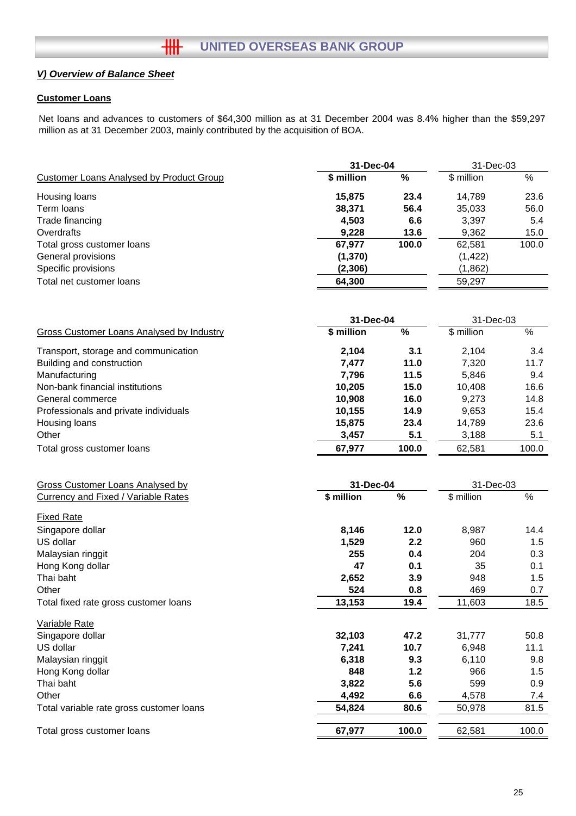#### **Customer Loans**

Net loans and advances to customers of \$64,300 million as at 31 December 2004 was 8.4% higher than the \$59,297 million as at 31 December 2003, mainly contributed by the acquisition of BOA.

|                                                  | 31-Dec-04  |       | 31-Dec-03   |       |
|--------------------------------------------------|------------|-------|-------------|-------|
| <b>Customer Loans Analysed by Product Group</b>  | \$ million | $\%$  | \$ million  | %     |
| Housing loans                                    | 15,875     | 23.4  | 14,789      | 23.6  |
| Term loans                                       | 38,371     | 56.4  | 35,033      | 56.0  |
| Trade financing                                  | 4,503      | 6.6   | 3,397       | 5.4   |
| Overdrafts                                       | 9,228      | 13.6  | 9,362       | 15.0  |
| Total gross customer loans                       | 67,977     | 100.0 | 62,581      | 100.0 |
| General provisions                               | (1, 370)   |       | (1, 422)    |       |
| Specific provisions                              | (2,306)    |       | (1,862)     |       |
| Total net customer loans                         | 64,300     |       | 59,297      |       |
|                                                  |            |       |             |       |
|                                                  | 31-Dec-04  |       | 31-Dec-03   |       |
| <b>Gross Customer Loans Analysed by Industry</b> | \$ million | %     | \$ million  | $\%$  |
| Transport, storage and communication             | 2,104      | 3.1   | 2,104       | 3.4   |
| Building and construction                        | 7,477      | 11.0  | 7,320       | 11.7  |
| Manufacturing                                    | 7,796      | 11.5  | 5,846       | 9.4   |
| Non-bank financial institutions                  | 10,205     | 15.0  | 10,408      | 16.6  |
| General commerce                                 | 10,908     | 16.0  | 9,273       | 14.8  |
| Professionals and private individuals            | 10,155     | 14.9  | 9,653       | 15.4  |
| Housing loans                                    | 15,875     | 23.4  | 14,789      | 23.6  |
| Other                                            | 3,457      | 5.1   | 3,188       | 5.1   |
| Total gross customer loans                       | 67,977     | 100.0 | 62,581      | 100.0 |
|                                                  |            |       |             |       |
| <b>Gross Customer Loans Analysed by</b>          | 31-Dec-04  |       | 31-Dec-03   |       |
| <b>Currency and Fixed / Variable Rates</b>       | \$ million | $\%$  | $$$ million | $\%$  |
| <b>Fixed Rate</b>                                |            |       |             |       |
| Singapore dollar                                 | 8,146      | 12.0  | 8,987       | 14.4  |
| US dollar                                        | 1,529      | 2.2   | 960         | 1.5   |
| Malaysian ringgit                                | 255        | 0.4   | 204         | 0.3   |
| Hong Kong dollar                                 | 47         | 0.1   | 35          | 0.1   |
| Thai baht                                        | 2,652      | 3.9   | 948         | 1.5   |
| Other                                            | 524        | 0.8   | 469         | 0.7   |
| Total fixed rate gross customer loans            | 13,153     | 19.4  | 11,603      | 18.5  |
| Variable Rate                                    |            |       |             |       |
| Singapore dollar                                 | 32,103     | 47.2  | 31,777      | 50.8  |
| US dollar                                        | 7,241      | 10.7  | 6,948       | 11.1  |
| Malaysian ringgit                                | 6,318      | 9.3   | 6,110       | 9.8   |
| Hong Kong dollar                                 | 848        | 1.2   | 966         | 1.5   |
| Thai baht                                        | 3,822      | 5.6   | 599         | 0.9   |
| Other                                            | 4,492      | 6.6   | 4,578       | 7.4   |
| Total variable rate gross customer loans         | 54,824     | 80.6  | 50,978      | 81.5  |
| Total gross customer loans                       | 67,977     | 100.0 | 62,581      | 100.0 |
|                                                  |            |       |             |       |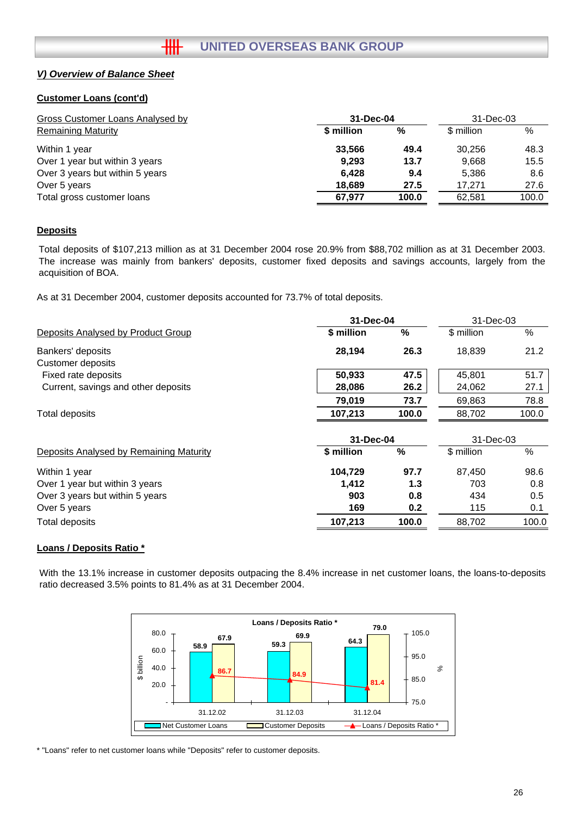#### **Customer Loans (cont'd)**

| Gross Customer Loans Analysed by | 31-Dec-04  | 31-Dec-03 |            |       |
|----------------------------------|------------|-----------|------------|-------|
| <b>Remaining Maturity</b>        | \$ million | %         | \$ million | %     |
| Within 1 year                    | 33.566     | 49.4      | 30.256     | 48.3  |
| Over 1 year but within 3 years   | 9,293      | 13.7      | 9,668      | 15.5  |
| Over 3 years but within 5 years  | 6,428      | 9.4       | 5,386      | 8.6   |
| Over 5 years                     | 18.689     | 27.5      | 17.271     | 27.6  |
| Total gross customer loans       | 67.977     | 100.0     | 62.581     | 100.0 |

#### **Deposits**

Total deposits of \$107,213 million as at 31 December 2004 rose 20.9% from \$88,702 million as at 31 December 2003. The increase was mainly from bankers' deposits, customer fixed deposits and savings accounts, largely from the acquisition of BOA.

As at 31 December 2004, customer deposits accounted for 73.7% of total deposits.

|                                         |            | 31-Dec-04 |            | 31-Dec-03 |  |
|-----------------------------------------|------------|-----------|------------|-----------|--|
| Deposits Analysed by Product Group      | \$ million | %         | \$ million | $\%$      |  |
| Bankers' deposits                       | 28,194     | 26.3      | 18,839     | 21.2      |  |
| <b>Customer deposits</b>                |            |           |            |           |  |
| Fixed rate deposits                     | 50,933     | 47.5      | 45,801     | 51.7      |  |
| Current, savings and other deposits     | 28,086     | 26.2      | 24,062     | 27.1      |  |
|                                         | 79,019     | 73.7      | 69,863     | 78.8      |  |
| Total deposits                          | 107,213    | 100.0     | 88,702     | 100.0     |  |
|                                         | 31-Dec-04  |           | 31-Dec-03  |           |  |
| Deposits Analysed by Remaining Maturity | \$ million | $\%$      | \$ million | $\%$      |  |
| Within 1 year                           | 104,729    | 97.7      | 87,450     | 98.6      |  |
| Over 1 year but within 3 years          | 1,412      | 1.3       | 703        | 0.8       |  |
| Over 3 years but within 5 years         | 903        | 0.8       | 434        | 0.5       |  |
| Over 5 years                            | 169        | 0.2       | 115        | 0.1       |  |
| Total deposits                          | 107,213    | 100.0     | 88,702     | 100.0     |  |
|                                         |            |           |            |           |  |

#### **Loans / Deposits Ratio \***

With the 13.1% increase in customer deposits outpacing the 8.4% increase in net customer loans, the loans-to-deposits ratio decreased 3.5% points to 81.4% as at 31 December 2004.



\* "Loans" refer to net customer loans while "Deposits" refer to customer deposits.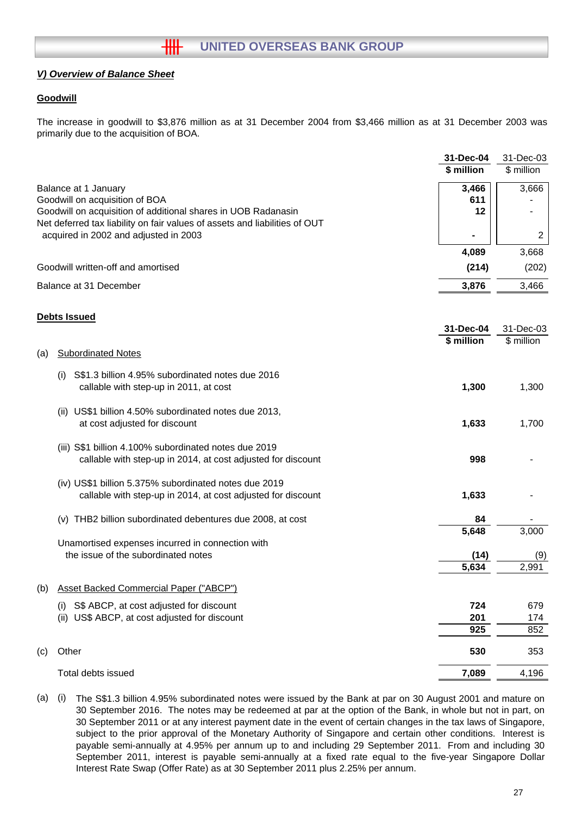### **Goodwill**

The increase in goodwill to \$3,876 million as at 31 December 2004 from \$3,466 million as at 31 December 2003 was primarily due to the acquisition of BOA.

| \$ million<br>\$ million<br>3,466<br>3,666<br>Balance at 1 January<br>611<br>Goodwill on acquisition of BOA<br>Goodwill on acquisition of additional shares in UOB Radanasin<br>12<br>Net deferred tax liability on fair values of assets and liabilities of OUT<br>acquired in 2002 and adjusted in 2003<br>2<br>4,089<br>3,668<br>Goodwill written-off and amortised<br>(214)<br>(202)<br>Balance at 31 December<br>3,876<br>3,466<br><b>Debts Issued</b><br>31-Dec-03<br>31-Dec-04<br>\$ million<br>\$ million<br><b>Subordinated Notes</b><br>(a)<br>S\$1.3 billion 4.95% subordinated notes due 2016<br>(i)<br>1,300<br>callable with step-up in 2011, at cost<br>1,300<br>(ii) US\$1 billion 4.50% subordinated notes due 2013,<br>at cost adjusted for discount<br>1,633<br>1,700<br>(iii) S\$1 billion 4.100% subordinated notes due 2019<br>callable with step-up in 2014, at cost adjusted for discount<br>998<br>(iv) US\$1 billion 5.375% subordinated notes due 2019<br>callable with step-up in 2014, at cost adjusted for discount<br>1,633<br>(v) THB2 billion subordinated debentures due 2008, at cost<br>84<br>5,648<br>3,000<br>Unamortised expenses incurred in connection with<br>the issue of the subordinated notes<br>(14)<br>(9)<br>5,634<br>2,991<br><b>Asset Backed Commercial Paper ("ABCP")</b><br>(b)<br>724<br>S\$ ABCP, at cost adjusted for discount<br>679<br>(i)<br>US\$ ABCP, at cost adjusted for discount<br>201<br>(ii)<br>174<br>925<br>852<br>530<br>Other<br>353<br>Total debts issued<br>7,089<br>4,196 |     | 31-Dec-04 | 31-Dec-03 |
|-----------------------------------------------------------------------------------------------------------------------------------------------------------------------------------------------------------------------------------------------------------------------------------------------------------------------------------------------------------------------------------------------------------------------------------------------------------------------------------------------------------------------------------------------------------------------------------------------------------------------------------------------------------------------------------------------------------------------------------------------------------------------------------------------------------------------------------------------------------------------------------------------------------------------------------------------------------------------------------------------------------------------------------------------------------------------------------------------------------------------------------------------------------------------------------------------------------------------------------------------------------------------------------------------------------------------------------------------------------------------------------------------------------------------------------------------------------------------------------------------------------------------------------------------------|-----|-----------|-----------|
|                                                                                                                                                                                                                                                                                                                                                                                                                                                                                                                                                                                                                                                                                                                                                                                                                                                                                                                                                                                                                                                                                                                                                                                                                                                                                                                                                                                                                                                                                                                                                     |     |           |           |
|                                                                                                                                                                                                                                                                                                                                                                                                                                                                                                                                                                                                                                                                                                                                                                                                                                                                                                                                                                                                                                                                                                                                                                                                                                                                                                                                                                                                                                                                                                                                                     |     |           |           |
|                                                                                                                                                                                                                                                                                                                                                                                                                                                                                                                                                                                                                                                                                                                                                                                                                                                                                                                                                                                                                                                                                                                                                                                                                                                                                                                                                                                                                                                                                                                                                     |     |           |           |
|                                                                                                                                                                                                                                                                                                                                                                                                                                                                                                                                                                                                                                                                                                                                                                                                                                                                                                                                                                                                                                                                                                                                                                                                                                                                                                                                                                                                                                                                                                                                                     |     |           |           |
|                                                                                                                                                                                                                                                                                                                                                                                                                                                                                                                                                                                                                                                                                                                                                                                                                                                                                                                                                                                                                                                                                                                                                                                                                                                                                                                                                                                                                                                                                                                                                     |     |           |           |
|                                                                                                                                                                                                                                                                                                                                                                                                                                                                                                                                                                                                                                                                                                                                                                                                                                                                                                                                                                                                                                                                                                                                                                                                                                                                                                                                                                                                                                                                                                                                                     |     |           |           |
|                                                                                                                                                                                                                                                                                                                                                                                                                                                                                                                                                                                                                                                                                                                                                                                                                                                                                                                                                                                                                                                                                                                                                                                                                                                                                                                                                                                                                                                                                                                                                     |     |           |           |
|                                                                                                                                                                                                                                                                                                                                                                                                                                                                                                                                                                                                                                                                                                                                                                                                                                                                                                                                                                                                                                                                                                                                                                                                                                                                                                                                                                                                                                                                                                                                                     |     |           |           |
|                                                                                                                                                                                                                                                                                                                                                                                                                                                                                                                                                                                                                                                                                                                                                                                                                                                                                                                                                                                                                                                                                                                                                                                                                                                                                                                                                                                                                                                                                                                                                     |     |           |           |
|                                                                                                                                                                                                                                                                                                                                                                                                                                                                                                                                                                                                                                                                                                                                                                                                                                                                                                                                                                                                                                                                                                                                                                                                                                                                                                                                                                                                                                                                                                                                                     |     |           |           |
|                                                                                                                                                                                                                                                                                                                                                                                                                                                                                                                                                                                                                                                                                                                                                                                                                                                                                                                                                                                                                                                                                                                                                                                                                                                                                                                                                                                                                                                                                                                                                     |     |           |           |
|                                                                                                                                                                                                                                                                                                                                                                                                                                                                                                                                                                                                                                                                                                                                                                                                                                                                                                                                                                                                                                                                                                                                                                                                                                                                                                                                                                                                                                                                                                                                                     |     |           |           |
|                                                                                                                                                                                                                                                                                                                                                                                                                                                                                                                                                                                                                                                                                                                                                                                                                                                                                                                                                                                                                                                                                                                                                                                                                                                                                                                                                                                                                                                                                                                                                     |     |           |           |
|                                                                                                                                                                                                                                                                                                                                                                                                                                                                                                                                                                                                                                                                                                                                                                                                                                                                                                                                                                                                                                                                                                                                                                                                                                                                                                                                                                                                                                                                                                                                                     |     |           |           |
|                                                                                                                                                                                                                                                                                                                                                                                                                                                                                                                                                                                                                                                                                                                                                                                                                                                                                                                                                                                                                                                                                                                                                                                                                                                                                                                                                                                                                                                                                                                                                     |     |           |           |
|                                                                                                                                                                                                                                                                                                                                                                                                                                                                                                                                                                                                                                                                                                                                                                                                                                                                                                                                                                                                                                                                                                                                                                                                                                                                                                                                                                                                                                                                                                                                                     |     |           |           |
|                                                                                                                                                                                                                                                                                                                                                                                                                                                                                                                                                                                                                                                                                                                                                                                                                                                                                                                                                                                                                                                                                                                                                                                                                                                                                                                                                                                                                                                                                                                                                     |     |           |           |
|                                                                                                                                                                                                                                                                                                                                                                                                                                                                                                                                                                                                                                                                                                                                                                                                                                                                                                                                                                                                                                                                                                                                                                                                                                                                                                                                                                                                                                                                                                                                                     |     |           |           |
|                                                                                                                                                                                                                                                                                                                                                                                                                                                                                                                                                                                                                                                                                                                                                                                                                                                                                                                                                                                                                                                                                                                                                                                                                                                                                                                                                                                                                                                                                                                                                     |     |           |           |
|                                                                                                                                                                                                                                                                                                                                                                                                                                                                                                                                                                                                                                                                                                                                                                                                                                                                                                                                                                                                                                                                                                                                                                                                                                                                                                                                                                                                                                                                                                                                                     |     |           |           |
|                                                                                                                                                                                                                                                                                                                                                                                                                                                                                                                                                                                                                                                                                                                                                                                                                                                                                                                                                                                                                                                                                                                                                                                                                                                                                                                                                                                                                                                                                                                                                     |     |           |           |
|                                                                                                                                                                                                                                                                                                                                                                                                                                                                                                                                                                                                                                                                                                                                                                                                                                                                                                                                                                                                                                                                                                                                                                                                                                                                                                                                                                                                                                                                                                                                                     |     |           |           |
|                                                                                                                                                                                                                                                                                                                                                                                                                                                                                                                                                                                                                                                                                                                                                                                                                                                                                                                                                                                                                                                                                                                                                                                                                                                                                                                                                                                                                                                                                                                                                     |     |           |           |
|                                                                                                                                                                                                                                                                                                                                                                                                                                                                                                                                                                                                                                                                                                                                                                                                                                                                                                                                                                                                                                                                                                                                                                                                                                                                                                                                                                                                                                                                                                                                                     |     |           |           |
|                                                                                                                                                                                                                                                                                                                                                                                                                                                                                                                                                                                                                                                                                                                                                                                                                                                                                                                                                                                                                                                                                                                                                                                                                                                                                                                                                                                                                                                                                                                                                     |     |           |           |
|                                                                                                                                                                                                                                                                                                                                                                                                                                                                                                                                                                                                                                                                                                                                                                                                                                                                                                                                                                                                                                                                                                                                                                                                                                                                                                                                                                                                                                                                                                                                                     |     |           |           |
|                                                                                                                                                                                                                                                                                                                                                                                                                                                                                                                                                                                                                                                                                                                                                                                                                                                                                                                                                                                                                                                                                                                                                                                                                                                                                                                                                                                                                                                                                                                                                     |     |           |           |
|                                                                                                                                                                                                                                                                                                                                                                                                                                                                                                                                                                                                                                                                                                                                                                                                                                                                                                                                                                                                                                                                                                                                                                                                                                                                                                                                                                                                                                                                                                                                                     |     |           |           |
|                                                                                                                                                                                                                                                                                                                                                                                                                                                                                                                                                                                                                                                                                                                                                                                                                                                                                                                                                                                                                                                                                                                                                                                                                                                                                                                                                                                                                                                                                                                                                     |     |           |           |
|                                                                                                                                                                                                                                                                                                                                                                                                                                                                                                                                                                                                                                                                                                                                                                                                                                                                                                                                                                                                                                                                                                                                                                                                                                                                                                                                                                                                                                                                                                                                                     |     |           |           |
|                                                                                                                                                                                                                                                                                                                                                                                                                                                                                                                                                                                                                                                                                                                                                                                                                                                                                                                                                                                                                                                                                                                                                                                                                                                                                                                                                                                                                                                                                                                                                     |     |           |           |
|                                                                                                                                                                                                                                                                                                                                                                                                                                                                                                                                                                                                                                                                                                                                                                                                                                                                                                                                                                                                                                                                                                                                                                                                                                                                                                                                                                                                                                                                                                                                                     |     |           |           |
|                                                                                                                                                                                                                                                                                                                                                                                                                                                                                                                                                                                                                                                                                                                                                                                                                                                                                                                                                                                                                                                                                                                                                                                                                                                                                                                                                                                                                                                                                                                                                     |     |           |           |
|                                                                                                                                                                                                                                                                                                                                                                                                                                                                                                                                                                                                                                                                                                                                                                                                                                                                                                                                                                                                                                                                                                                                                                                                                                                                                                                                                                                                                                                                                                                                                     | (c) |           |           |
|                                                                                                                                                                                                                                                                                                                                                                                                                                                                                                                                                                                                                                                                                                                                                                                                                                                                                                                                                                                                                                                                                                                                                                                                                                                                                                                                                                                                                                                                                                                                                     |     |           |           |

(a) (i) The S\$1.3 billion 4.95% subordinated notes were issued by the Bank at par on 30 August 2001 and mature on 30 September 2016. The notes may be redeemed at par at the option of the Bank, in whole but not in part, on 30 September 2011 or at any interest payment date in the event of certain changes in the tax laws of Singapore, subject to the prior approval of the Monetary Authority of Singapore and certain other conditions. Interest is payable semi-annually at 4.95% per annum up to and including 29 September 2011. From and including 30 September 2011, interest is payable semi-annually at a fixed rate equal to the five-year Singapore Dollar Interest Rate Swap (Offer Rate) as at 30 September 2011 plus 2.25% per annum.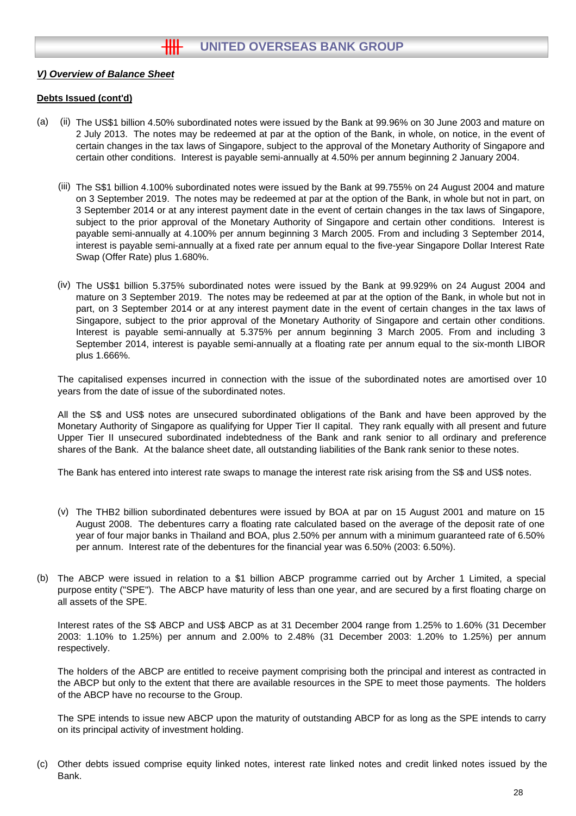#### **Debts Issued (cont'd)**

- $(a)$ The US\$1 billion 4.50% subordinated notes were issued by the Bank at 99.96% on 30 June 2003 and mature on 2 July 2013. The notes may be redeemed at par at the option of the Bank, in whole, on notice, in the event of certain changes in the tax laws of Singapore, subject to the approval of the Monetary Authority of Singapore and certain other conditions. Interest is payable semi-annually at 4.50% per annum beginning 2 January 2004.
	- (iii) The S\$1 billion 4.100% subordinated notes were issued by the Bank at 99.755% on 24 August 2004 and mature on 3 September 2019. The notes may be redeemed at par at the option of the Bank, in whole but not in part, on 3 September 2014 or at any interest payment date in the event of certain changes in the tax laws of Singapore, subject to the prior approval of the Monetary Authority of Singapore and certain other conditions. Interest is payable semi-annually at 4.100% per annum beginning 3 March 2005. From and including 3 September 2014, interest is payable semi-annually at a fixed rate per annum equal to the five-year Singapore Dollar Interest Rate Swap (Offer Rate) plus 1.680%.
	- (iv) The US\$1 billion 5.375% subordinated notes were issued by the Bank at 99.929% on 24 August 2004 and mature on 3 September 2019. The notes may be redeemed at par at the option of the Bank, in whole but not in part, on 3 September 2014 or at any interest payment date in the event of certain changes in the tax laws of Singapore, subject to the prior approval of the Monetary Authority of Singapore and certain other conditions. Interest is payable semi-annually at 5.375% per annum beginning 3 March 2005. From and including 3 September 2014, interest is payable semi-annually at a floating rate per annum equal to the six-month LIBOR plus 1.666%.

The capitalised expenses incurred in connection with the issue of the subordinated notes are amortised over 10 years from the date of issue of the subordinated notes.

All the S\$ and US\$ notes are unsecured subordinated obligations of the Bank and have been approved by the Monetary Authority of Singapore as qualifying for Upper Tier II capital. They rank equally with all present and future Upper Tier II unsecured subordinated indebtedness of the Bank and rank senior to all ordinary and preference shares of the Bank. At the balance sheet date, all outstanding liabilities of the Bank rank senior to these notes.

The Bank has entered into interest rate swaps to manage the interest rate risk arising from the S\$ and US\$ notes.

- (v) The THB2 billion subordinated debentures were issued by BOA at par on 15 August 2001 and mature on 15 August 2008. The debentures carry a floating rate calculated based on the average of the deposit rate of one year of four major banks in Thailand and BOA, plus 2.50% per annum with a minimum guaranteed rate of 6.50% per annum. Interest rate of the debentures for the financial year was 6.50% (2003: 6.50%).
- (b) The ABCP were issued in relation to a \$1 billion ABCP programme carried out by Archer 1 Limited, a special purpose entity ("SPE"). The ABCP have maturity of less than one year, and are secured by a first floating charge on all assets of the SPE.

Interest rates of the S\$ ABCP and US\$ ABCP as at 31 December 2004 range from 1.25% to 1.60% (31 December 2003: 1.10% to 1.25%) per annum and 2.00% to 2.48% (31 December 2003: 1.20% to 1.25%) per annum respectively.

The holders of the ABCP are entitled to receive payment comprising both the principal and interest as contracted in the ABCP but only to the extent that there are available resources in the SPE to meet those payments. The holders of the ABCP have no recourse to the Group.

The SPE intends to issue new ABCP upon the maturity of outstanding ABCP for as long as the SPE intends to carry on its principal activity of investment holding.

(c) Other debts issued comprise equity linked notes, interest rate linked notes and credit linked notes issued by the Bank.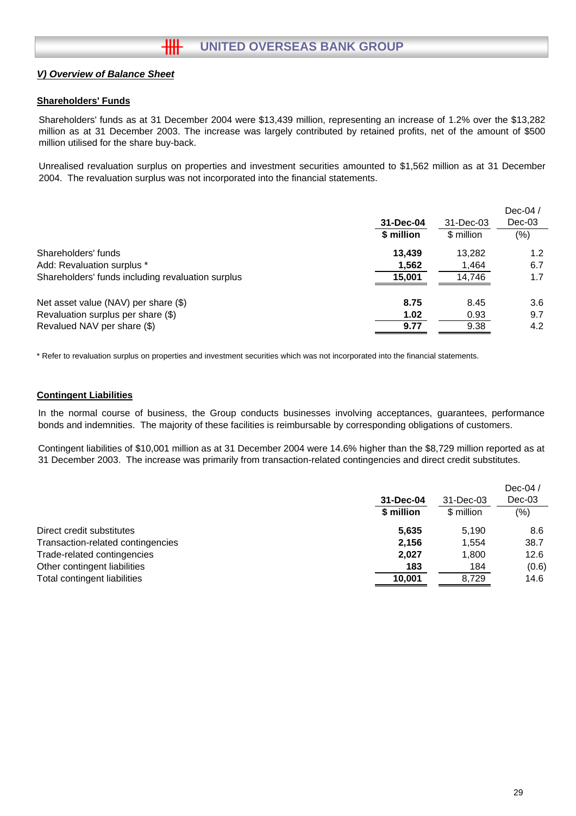#### **Shareholders' Funds**

Shareholders' funds as at 31 December 2004 were \$13,439 million, representing an increase of 1.2% over the \$13,282 million as at 31 December 2003. The increase was largely contributed by retained profits, net of the amount of \$500 million utilised for the share buy-back.

Unrealised revaluation surplus on properties and investment securities amounted to \$1,562 million as at 31 December 2004. The revaluation surplus was not incorporated into the financial statements.

|                                                   | 31-Dec-04<br>\$ million | 31-Dec-03<br>\$ million | Dec-04 $/$<br>$Dec-03$<br>$(\% )$ |
|---------------------------------------------------|-------------------------|-------------------------|-----------------------------------|
| Shareholders' funds                               | 13.439                  | 13.282                  | 1.2 <sub>2</sub>                  |
| Add: Revaluation surplus *                        | 1.562                   | 1,464                   | 6.7                               |
| Shareholders' funds including revaluation surplus | 15,001                  | 14,746                  | 1.7                               |
| Net asset value (NAV) per share (\$)              | 8.75                    | 8.45                    | 3.6                               |
| Revaluation surplus per share (\$)                | 1.02                    | 0.93                    | 9.7                               |
| Revalued NAV per share (\$)                       | 9.77                    | 9.38                    | 4.2                               |

\* Refer to revaluation surplus on properties and investment securities which was not incorporated into the financial statements.

#### **Contingent Liabilities**

In the normal course of business, the Group conducts businesses involving acceptances, guarantees, performance bonds and indemnities. The majority of these facilities is reimbursable by corresponding obligations of customers.

Contingent liabilities of \$10,001 million as at 31 December 2004 were 14.6% higher than the \$8,729 million reported as at 31 December 2003. The increase was primarily from transaction-related contingencies and direct credit substitutes.

|                                   |            |            | Dec-04 $/$ |
|-----------------------------------|------------|------------|------------|
|                                   | 31-Dec-04  | 31-Dec-03  | $Dec-03$   |
|                                   | \$ million | \$ million | (% )       |
| Direct credit substitutes         | 5.635      | 5.190      | 8.6        |
| Transaction-related contingencies | 2,156      | 1.554      | 38.7       |
| Trade-related contingencies       | 2,027      | 1,800      | 12.6       |
| Other contingent liabilities      | 183        | 184        | (0.6)      |
| Total contingent liabilities      | 10,001     | 8,729      | 14.6       |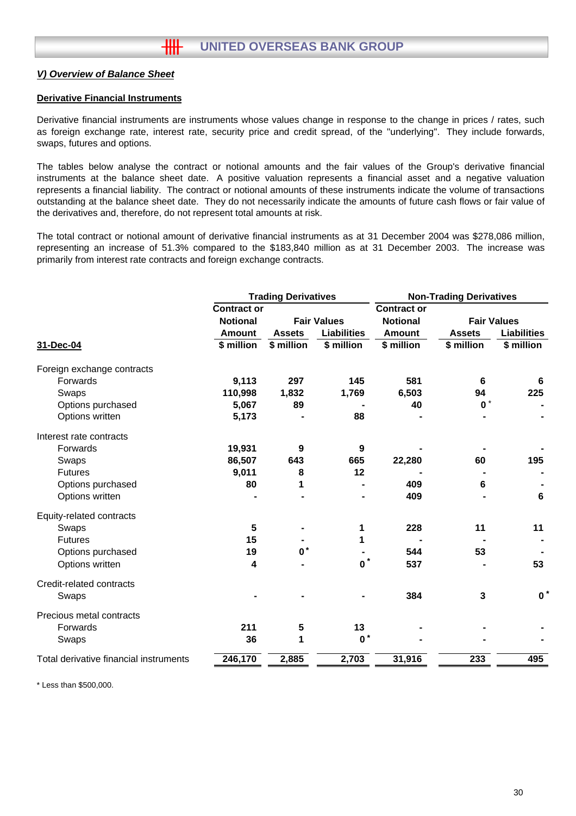#### **Derivative Financial Instruments**

Derivative financial instruments are instruments whose values change in response to the change in prices / rates, such as foreign exchange rate, interest rate, security price and credit spread, of the "underlying". They include forwards, swaps, futures and options.

The tables below analyse the contract or notional amounts and the fair values of the Group's derivative financial instruments at the balance sheet date. A positive valuation represents a financial asset and a negative valuation represents a financial liability. The contract or notional amounts of these instruments indicate the volume of transactions outstanding at the balance sheet date. They do not necessarily indicate the amounts of future cash flows or fair value of the derivatives and, therefore, do not represent total amounts at risk.

The total contract or notional amount of derivative financial instruments as at 31 December 2004 was \$278,086 million, representing an increase of 51.3% compared to the \$183,840 million as at 31 December 2003. The increase was primarily from interest rate contracts and foreign exchange contracts.

|                                        |                    | <b>Trading Derivatives</b> |                    | <b>Non-Trading Derivatives</b> |                |                    |
|----------------------------------------|--------------------|----------------------------|--------------------|--------------------------------|----------------|--------------------|
|                                        | <b>Contract or</b> |                            |                    | <b>Contract or</b>             |                |                    |
|                                        | <b>Notional</b>    |                            | <b>Fair Values</b> | <b>Notional</b>                |                | <b>Fair Values</b> |
|                                        | <b>Amount</b>      | <b>Assets</b>              | <b>Liabilities</b> | <b>Amount</b>                  | <b>Assets</b>  | <b>Liabilities</b> |
| 31-Dec-04                              | \$ million         | \$ million                 | \$ million         | \$ million                     | \$ million     | \$ million         |
| Foreign exchange contracts             |                    |                            |                    |                                |                |                    |
| Forwards                               | 9,113              | 297                        | 145                | 581                            | 6              | 6                  |
| Swaps                                  | 110,998            | 1,832                      | 1,769              | 6,503                          | 94             | 225                |
| Options purchased                      | 5,067              | 89                         |                    | 40                             | $\mathbf{0}^*$ |                    |
| Options written                        | 5,173              |                            | 88                 |                                |                |                    |
| Interest rate contracts                |                    |                            |                    |                                |                |                    |
| Forwards                               | 19,931             | 9                          | 9                  |                                |                |                    |
| Swaps                                  | 86,507             | 643                        | 665                | 22,280                         | 60             | 195                |
| <b>Futures</b>                         | 9,011              | 8                          | 12                 |                                |                |                    |
| Options purchased                      | 80                 | 1                          |                    | 409                            | 6              |                    |
| Options written                        |                    |                            |                    | 409                            |                | 6                  |
| Equity-related contracts               |                    |                            |                    |                                |                |                    |
| Swaps                                  | 5                  |                            | 1                  | 228                            | 11             | 11                 |
| <b>Futures</b>                         | 15                 |                            | 1                  |                                |                |                    |
| Options purchased                      | 19                 | $\mathbf{0}^*$             |                    | 544                            | 53             |                    |
| Options written                        | 4                  |                            | $\mathbf{0}^*$     | 537                            |                | 53                 |
| Credit-related contracts               |                    |                            |                    |                                |                |                    |
| Swaps                                  |                    |                            |                    | 384                            | 3              | $\mathbf{0}^*$     |
| Precious metal contracts               |                    |                            |                    |                                |                |                    |
| Forwards                               | 211                | $5\phantom{1}$             | 13                 |                                |                |                    |
| Swaps                                  | 36                 | 1                          | $\mathbf{0}^*$     |                                |                |                    |
| Total derivative financial instruments | 246,170            | 2,885                      | 2,703              | 31,916                         | 233            | 495                |

\* Less than \$500,000.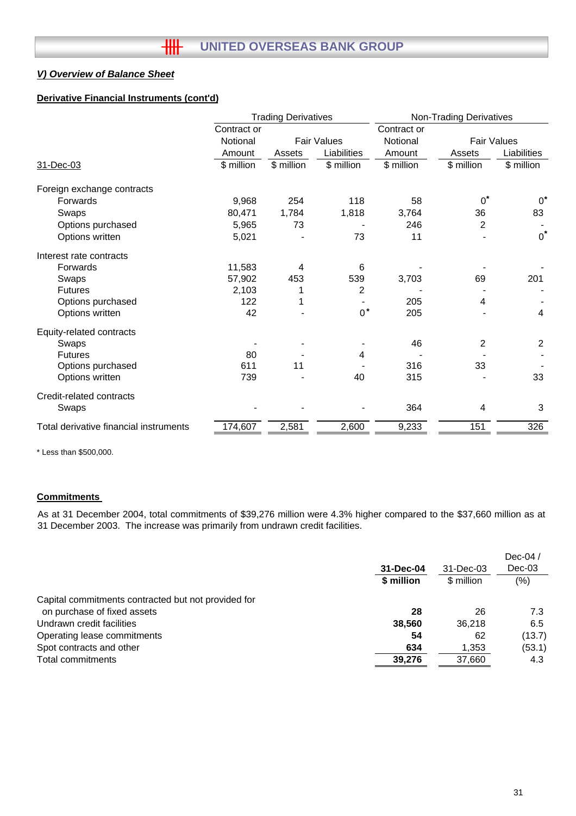# **Derivative Financial Instruments (cont'd)**

|                                        | <b>Trading Derivatives</b> |            |                    | <b>Non-Trading Derivatives</b> |                    |                |
|----------------------------------------|----------------------------|------------|--------------------|--------------------------------|--------------------|----------------|
|                                        | Contract or                |            |                    | Contract or                    |                    |                |
|                                        | Notional                   |            | <b>Fair Values</b> | Notional                       | <b>Fair Values</b> |                |
|                                        | Amount                     | Assets     | Liabilities        | Amount                         | Assets             | Liabilities    |
| 31-Dec-03                              | \$ million                 | \$ million | \$ million         | \$ million                     | \$ million         | \$ million     |
| Foreign exchange contracts             |                            |            |                    |                                |                    |                |
| Forwards                               | 9,968                      | 254        | 118                | 58                             | $0^*$              | $0^*$          |
| Swaps                                  | 80,471                     | 1,784      | 1,818              | 3,764                          | 36                 | 83             |
| Options purchased                      | 5,965                      | 73         |                    | 246                            | $\overline{2}$     |                |
| Options written                        | 5,021                      |            | 73                 | 11                             |                    | $0^*$          |
| Interest rate contracts                |                            |            |                    |                                |                    |                |
| Forwards                               | 11,583                     | 4          | 6                  |                                |                    |                |
| Swaps                                  | 57,902                     | 453        | 539                | 3,703                          | 69                 | 201            |
| <b>Futures</b>                         | 2,103                      |            | 2                  |                                |                    |                |
| Options purchased                      | 122                        | 1          |                    | 205                            | 4                  |                |
| Options written                        | 42                         |            | $0^*$              | 205                            |                    | 4              |
| Equity-related contracts               |                            |            |                    |                                |                    |                |
| Swaps                                  |                            |            |                    | 46                             | $\overline{2}$     | $\overline{2}$ |
| <b>Futures</b>                         | 80                         |            | 4                  |                                |                    |                |
| Options purchased                      | 611                        | 11         |                    | 316                            | 33                 |                |
| Options written                        | 739                        |            | 40                 | 315                            |                    | 33             |
| Credit-related contracts               |                            |            |                    |                                |                    |                |
| Swaps                                  |                            |            |                    | 364                            | 4                  | 3              |
| Total derivative financial instruments | 174,607                    | 2,581      | 2,600              | 9,233                          | 151                | 326            |

\* Less than \$500,000.

# **Commitments**

As at 31 December 2004, total commitments of \$39,276 million were 4.3% higher compared to the \$37,660 million as at 31 December 2003. The increase was primarily from undrawn credit facilities.

|                                                     |            |            | Dec-04 $/$ |
|-----------------------------------------------------|------------|------------|------------|
|                                                     | 31-Dec-04  | 31-Dec-03  | $Dec-03$   |
|                                                     | \$ million | \$ million | $(\% )$    |
| Capital commitments contracted but not provided for |            |            |            |
| on purchase of fixed assets                         | 28         | 26         | 7.3        |
| Undrawn credit facilities                           | 38.560     | 36.218     | 6.5        |
| Operating lease commitments                         | 54         | 62         | (13.7)     |
| Spot contracts and other                            | 634        | 1,353      | (53.1)     |
| Total commitments                                   | 39,276     | 37,660     | 4.3        |
|                                                     |            |            |            |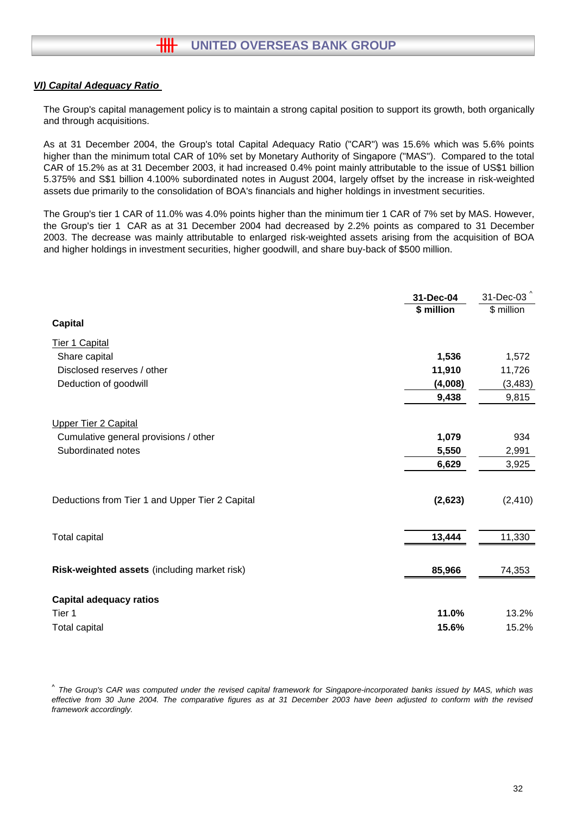# *VI) Capital Adequacy Ratio*

The Group's capital management policy is to maintain a strong capital position to support its growth, both organically and through acquisitions.

As at 31 December 2004, the Group's total Capital Adequacy Ratio ("CAR") was 15.6% which was 5.6% points higher than the minimum total CAR of 10% set by Monetary Authority of Singapore ("MAS"). Compared to the total CAR of 15.2% as at 31 December 2003, it had increased 0.4% point mainly attributable to the issue of US\$1 billion 5.375% and S\$1 billion 4.100% subordinated notes in August 2004, largely offset by the increase in risk-weighted assets due primarily to the consolidation of BOA's financials and higher holdings in investment securities.

The Group's tier 1 CAR of 11.0% was 4.0% points higher than the minimum tier 1 CAR of 7% set by MAS. However, the Group's tier 1 CAR as at 31 December 2004 had decreased by 2.2% points as compared to 31 December 2003. The decrease was mainly attributable to enlarged risk-weighted assets arising from the acquisition of BOA and higher holdings in investment securities, higher goodwill, and share buy-back of \$500 million.

|                                                 | 31-Dec-04  | 31-Dec-03 <sup>^</sup> |
|-------------------------------------------------|------------|------------------------|
|                                                 | \$ million | \$ million             |
| <b>Capital</b>                                  |            |                        |
| Tier 1 Capital                                  |            |                        |
| Share capital                                   | 1,536      | 1,572                  |
| Disclosed reserves / other                      | 11,910     | 11,726                 |
| Deduction of goodwill                           | (4,008)    | (3, 483)               |
|                                                 | 9,438      | 9,815                  |
| <b>Upper Tier 2 Capital</b>                     |            |                        |
| Cumulative general provisions / other           | 1,079      | 934                    |
| Subordinated notes                              | 5,550      | 2,991                  |
|                                                 | 6,629      | 3,925                  |
| Deductions from Tier 1 and Upper Tier 2 Capital | (2,623)    | (2, 410)               |
| Total capital                                   | 13,444     | 11,330                 |
| Risk-weighted assets (including market risk)    | 85,966     | 74,353                 |
| <b>Capital adequacy ratios</b>                  |            |                        |
| Tier 1                                          | 11.0%      | 13.2%                  |
| <b>Total capital</b>                            | 15.6%      | 15.2%                  |

*^ The Group's CAR was computed under the revised capital framework for Singapore-incorporated banks issued by MAS, which was effective from 30 June 2004. The comparative figures as at 31 December 2003 have been adjusted to conform with the revised framework accordingly.*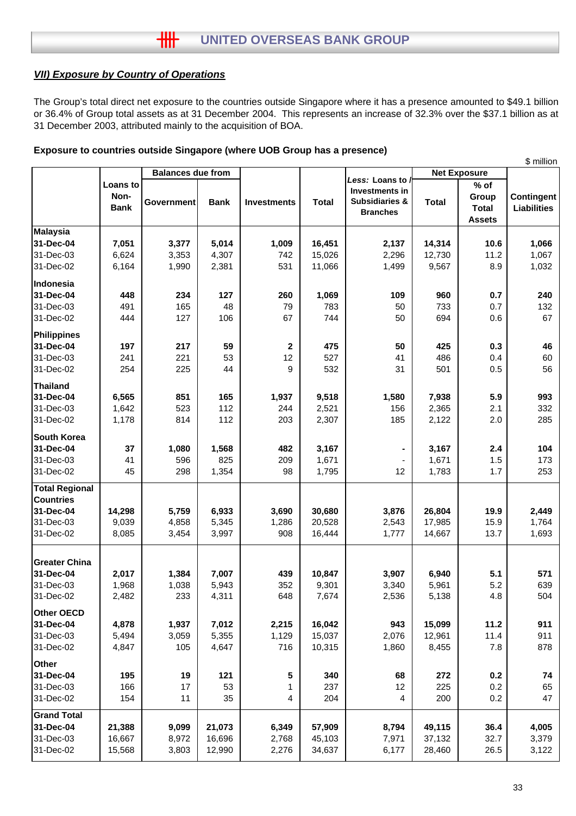# *VII) Exposure by Country of Operations*

The Group's total direct net exposure to the countries outside Singapore where it has a presence amounted to \$49.1 billion or 36.4% of Group total assets as at 31 December 2004. This represents an increase of 32.3% over the \$37.1 billion as at 31 December 2003, attributed mainly to the acquisition of BOA.

|  |  | Exposure to countries outside Singapore (where UOB Group has a presence) |  |  |
|--|--|--------------------------------------------------------------------------|--|--|

|                       |             |                          |             |                    |              |                                    |              |                     | \$ million         |
|-----------------------|-------------|--------------------------|-------------|--------------------|--------------|------------------------------------|--------------|---------------------|--------------------|
|                       |             | <b>Balances due from</b> |             |                    |              |                                    |              | <b>Net Exposure</b> |                    |
|                       | Loans to    |                          |             |                    |              | Less: Loans to /<br>Investments in |              | $%$ of              |                    |
|                       | Non-        |                          |             |                    | <b>Total</b> | <b>Subsidiaries &amp;</b>          |              | Group               | <b>Contingent</b>  |
|                       | <b>Bank</b> | <b>Government</b>        | <b>Bank</b> | <b>Investments</b> |              | <b>Branches</b>                    | <b>Total</b> | <b>Total</b>        | <b>Liabilities</b> |
|                       |             |                          |             |                    |              |                                    |              | <b>Assets</b>       |                    |
| <b>Malaysia</b>       |             |                          |             |                    |              |                                    |              |                     |                    |
| 31-Dec-04             | 7,051       | 3,377                    | 5,014       | 1,009              | 16,451       | 2,137                              | 14,314       | 10.6                | 1,066              |
| 31-Dec-03             | 6,624       | 3,353                    | 4,307       | 742                | 15,026       | 2,296                              | 12,730       | 11.2                | 1,067              |
| 31-Dec-02             | 6,164       | 1,990                    | 2,381       | 531                | 11,066       | 1,499                              | 9,567        | 8.9                 | 1,032              |
| Indonesia             |             |                          |             |                    |              |                                    |              |                     |                    |
| 31-Dec-04             | 448         | 234                      | 127         | 260                | 1,069        | 109                                | 960          | 0.7                 | 240                |
| 31-Dec-03             | 491         | 165                      | 48          | 79                 | 783          | 50                                 | 733          | 0.7                 | 132                |
| 31-Dec-02             | 444         | 127                      | 106         | 67                 | 744          | 50                                 | 694          | 0.6                 | 67                 |
| Philippines           |             |                          |             |                    |              |                                    |              |                     |                    |
| 31-Dec-04             | 197         | 217                      | 59          | $\mathbf{2}$       | 475          | 50                                 | 425          | 0.3                 | 46                 |
| 31-Dec-03             | 241         | 221                      | 53          | 12                 | 527          | 41                                 | 486          | 0.4                 | 60                 |
| 31-Dec-02             | 254         | 225                      | 44          | 9                  | 532          | 31                                 | 501          | 0.5                 | 56                 |
| Thailand              |             |                          |             |                    |              |                                    |              |                     |                    |
| 31-Dec-04             | 6,565       | 851                      | 165         | 1,937              | 9,518        | 1,580                              | 7,938        | 5.9                 | 993                |
| 31-Dec-03             | 1,642       | 523                      | 112         | 244                | 2,521        | 156                                | 2,365        | 2.1                 | 332                |
| 31-Dec-02             | 1,178       | 814                      | 112         | 203                | 2,307        | 185                                | 2,122        | 2.0                 | 285                |
| <b>South Korea</b>    |             |                          |             |                    |              |                                    |              |                     |                    |
| 31-Dec-04             | 37          | 1,080                    | 1,568       | 482                | 3,167        |                                    | 3,167        | 2.4                 | 104                |
| 31-Dec-03             | 41          | 596                      | 825         | 209                | 1,671        |                                    | 1,671        | 1.5                 | 173                |
| 31-Dec-02             | 45          | 298                      | 1,354       | 98                 | 1,795        | 12                                 | 1,783        | 1.7                 | 253                |
| <b>Total Regional</b> |             |                          |             |                    |              |                                    |              |                     |                    |
| <b>Countries</b>      |             |                          |             |                    |              |                                    |              |                     |                    |
| 31-Dec-04             | 14,298      | 5,759                    | 6,933       | 3,690              | 30,680       | 3,876                              | 26,804       | 19.9                | 2,449              |
| 31-Dec-03             | 9,039       | 4,858                    | 5,345       | 1,286              | 20,528       | 2,543                              | 17,985       | 15.9                | 1,764              |
| 31-Dec-02             | 8,085       | 3,454                    | 3,997       | 908                | 16,444       | 1,777                              | 14,667       | 13.7                | 1,693              |
|                       |             |                          |             |                    |              |                                    |              |                     |                    |
| <b>Greater China</b>  |             |                          |             |                    |              |                                    |              |                     |                    |
| 31-Dec-04             | 2,017       | 1,384                    | 7,007       | 439                | 10,847       | 3,907                              | 6,940        | 5.1                 | 571                |
| 31-Dec-03             | 1,968       | 1,038                    | 5,943       | 352                | 9,301        | 3,340                              | 5,961        | 5.2                 | 639                |
| 31-Dec-02             | 2,482       | 233                      | 4,311       | 648                | 7,674        | 2,536                              | 5,138        | 4.8                 | 504                |
| <b>Other OECD</b>     |             |                          |             |                    |              |                                    |              |                     |                    |
| 31-Dec-04             | 4,878       | 1,937                    | 7,012       | 2,215              | 16,042       | 943                                | 15,099       | 11.2                | 911                |
| 31-Dec-03             | 5,494       | 3,059                    | 5,355       | 1,129              | 15,037       | 2,076                              | 12,961       | 11.4                | 911                |
| 31-Dec-02             | 4,847       | 105                      | 4,647       | 716                | 10,315       | 1,860                              | 8,455        | 7.8                 | 878                |
| <b>Other</b>          |             |                          |             |                    |              |                                    |              |                     |                    |
| 31-Dec-04             | 195         | 19                       | 121         | 5                  | 340          | 68                                 | 272          | 0.2                 | 74                 |
| 31-Dec-03             | 166         | 17                       | 53          | 1                  | 237          | 12                                 | 225          | 0.2                 | 65                 |
| 31-Dec-02             | 154         | 11                       | 35          | 4                  | 204          | 4                                  | 200          | 0.2                 | 47                 |
| <b>Grand Total</b>    |             |                          |             |                    |              |                                    |              |                     |                    |
| 31-Dec-04             | 21,388      | 9,099                    | 21,073      | 6,349              | 57,909       | 8,794                              | 49,115       | 36.4                | 4,005              |
| 31-Dec-03             | 16,667      | 8,972                    | 16,696      | 2,768              | 45,103       | 7,971                              | 37,132       | 32.7                | 3,379              |
| 31-Dec-02             | 15,568      | 3,803                    | 12,990      | 2,276              | 34,637       | 6,177                              | 28,460       | 26.5                | 3,122              |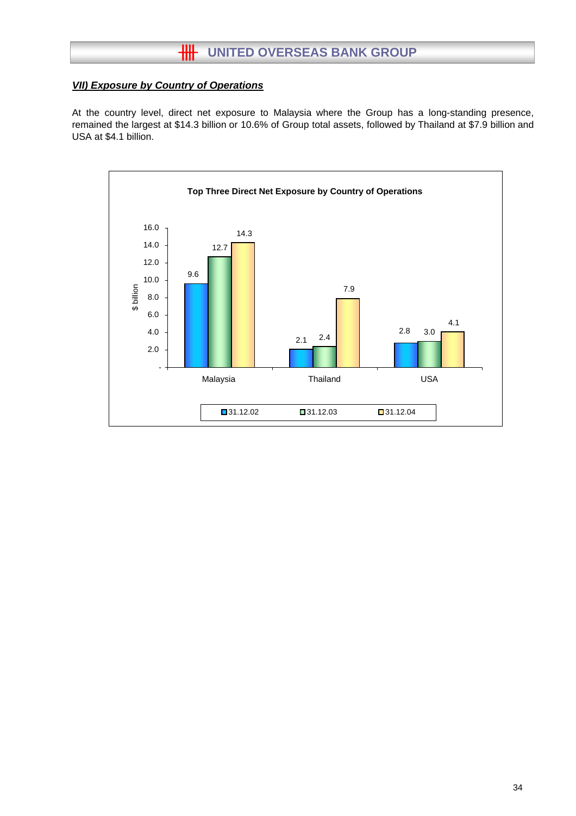# *VII) Exposure by Country of Operations*

At the country level, direct net exposure to Malaysia where the Group has a long-standing presence, remained the largest at \$14.3 billion or 10.6% of Group total assets, followed by Thailand at \$7.9 billion and USA at \$4.1 billion.

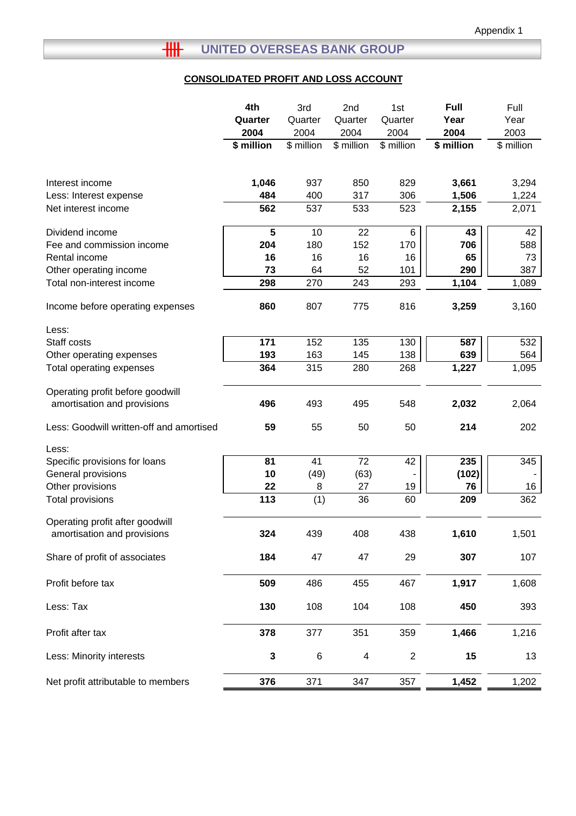# **CONSOLIDATED PROFIT AND LOSS ACCOUNT**

|                                                                 | 4th         | 3rd        | 2nd                      | 1st          | <b>Full</b> | Full       |
|-----------------------------------------------------------------|-------------|------------|--------------------------|--------------|-------------|------------|
|                                                                 | Quarter     | Quarter    | Quarter                  | Quarter      | Year        | Year       |
|                                                                 | 2004        | 2004       | 2004                     | 2004         | 2004        | 2003       |
|                                                                 | \$ million  | \$ million | \$ million               | \$ million   | \$ million  | \$ million |
| Interest income                                                 | 1,046       | 937        | 850                      | 829          | 3,661       | 3,294      |
| Less: Interest expense                                          | 484         | 400        | 317                      | 306          | 1,506       | 1,224      |
| Net interest income                                             | 562         | 537        | 533                      | 523          | 2,155       | 2,071      |
|                                                                 |             |            |                          |              |             |            |
| Dividend income                                                 | 5           | 10         | 22                       | 6            | 43          | 42         |
| Fee and commission income                                       | 204         | 180        | 152                      | 170          | 706         | 588        |
| Rental income                                                   | 16          | 16         | 16                       | 16           | 65          | 73         |
| Other operating income                                          | 73          | 64         | 52                       | 101          | 290         | 387        |
| Total non-interest income                                       | 298         | 270        | 243                      | 293          | 1,104       | 1,089      |
| Income before operating expenses                                | 860         | 807        | 775                      | 816          | 3,259       | 3,160      |
| Less:                                                           |             |            |                          |              |             |            |
| Staff costs                                                     | 171         | 152        | 135                      | 130          | 587         | 532        |
| Other operating expenses                                        | 193         | 163        | 145                      | 138          | 639         | 564        |
| Total operating expenses                                        | 364         | 315        | 280                      | 268          | 1,227       | 1,095      |
| Operating profit before goodwill<br>amortisation and provisions | 496         | 493        | 495                      | 548          | 2,032       | 2,064      |
|                                                                 |             |            |                          |              |             |            |
| Less: Goodwill written-off and amortised                        | 59          | 55         | 50                       | 50           | 214         | 202        |
| Less:                                                           |             |            |                          |              |             |            |
| Specific provisions for loans                                   | 81          | 41         | 72                       | 42           | 235         | 345        |
| General provisions                                              | 10          | (49)       | (63)                     |              | (102)       |            |
| Other provisions                                                | 22          | 8          | 27                       | 19           | 76          | 16         |
| Total provisions                                                | 113         | (1)        | 36                       | 60           | 209         | 362        |
| Operating profit after goodwill                                 |             |            |                          |              |             |            |
| amortisation and provisions                                     | 324         | 439        | 408                      | 438          | 1,610       | 1,501      |
| Share of profit of associates                                   | 184         | 47         | 47                       | 29           | 307         | 107        |
| Profit before tax                                               | 509         | 486        | 455                      | 467          | 1,917       | 1,608      |
| Less: Tax                                                       | 130         | 108        | 104                      | 108          | 450         | 393        |
| Profit after tax                                                | 378         | 377        | 351                      | 359          | 1,466       | 1,216      |
| Less: Minority interests                                        | $\mathbf 3$ | 6          | $\overline{\mathcal{A}}$ | $\mathbf{2}$ | 15          | 13         |
| Net profit attributable to members                              | 376         | 371        | 347                      | 357          | 1,452       | 1,202      |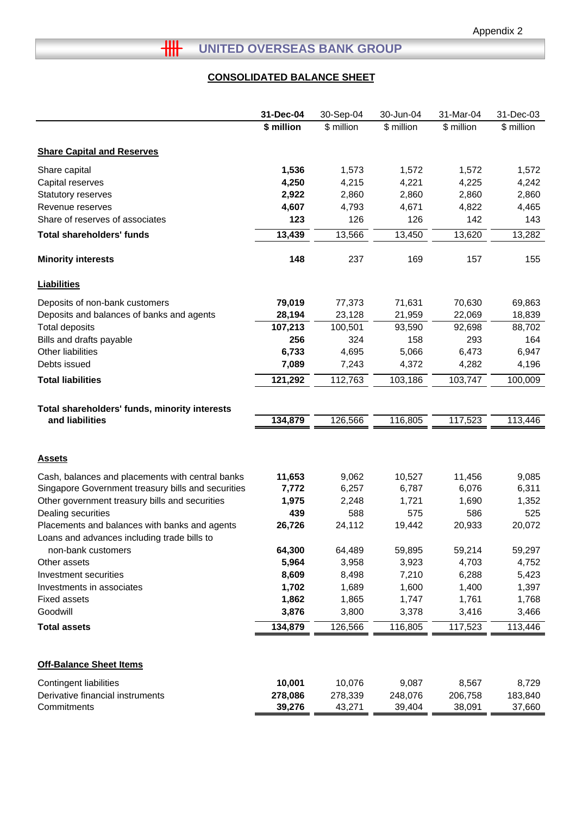# **THE UNITED OVERSEAS BANK GROUP**

# **CONSOLIDATED BALANCE SHEET**

|                                                                                              | 31-Dec-04  | 30-Sep-04  | 30-Jun-04  | 31-Mar-04  | 31-Dec-03  |
|----------------------------------------------------------------------------------------------|------------|------------|------------|------------|------------|
|                                                                                              | \$ million | \$ million | \$ million | \$ million | \$ million |
| <b>Share Capital and Reserves</b>                                                            |            |            |            |            |            |
| Share capital                                                                                | 1,536      | 1,573      | 1,572      | 1,572      | 1,572      |
| Capital reserves                                                                             | 4,250      | 4,215      | 4,221      | 4,225      | 4,242      |
| Statutory reserves                                                                           | 2,922      | 2,860      | 2,860      | 2,860      | 2,860      |
| Revenue reserves                                                                             | 4,607      | 4,793      | 4,671      | 4,822      | 4,465      |
| Share of reserves of associates                                                              | 123        | 126        | 126        | 142        | 143        |
| <b>Total shareholders' funds</b>                                                             | 13,439     | 13,566     | 13,450     | 13,620     | 13,282     |
| <b>Minority interests</b>                                                                    | 148        | 237        | 169        | 157        | 155        |
| <b>Liabilities</b>                                                                           |            |            |            |            |            |
| Deposits of non-bank customers                                                               | 79,019     | 77,373     | 71,631     | 70,630     | 69,863     |
| Deposits and balances of banks and agents                                                    | 28,194     | 23,128     | 21,959     | 22,069     | 18,839     |
| <b>Total deposits</b>                                                                        | 107,213    | 100,501    | 93,590     | 92,698     | 88,702     |
| Bills and drafts payable                                                                     | 256        | 324        | 158        | 293        | 164        |
| <b>Other liabilities</b>                                                                     | 6,733      | 4,695      | 5,066      | 6,473      | 6,947      |
| Debts issued                                                                                 | 7,089      | 7,243      | 4,372      | 4,282      | 4,196      |
| <b>Total liabilities</b>                                                                     | 121,292    | 112,763    | 103,186    | 103,747    | 100,009    |
| Total shareholders' funds, minority interests<br>and liabilities                             | 134,879    | 126,566    | 116,805    | 117,523    | 113,446    |
| <b>Assets</b>                                                                                |            |            |            |            |            |
| Cash, balances and placements with central banks                                             | 11,653     | 9,062      | 10,527     | 11,456     | 9,085      |
| Singapore Government treasury bills and securities                                           | 7,772      | 6,257      | 6,787      | 6,076      | 6,311      |
| Other government treasury bills and securities                                               | 1,975      | 2,248      | 1,721      | 1,690      | 1,352      |
| Dealing securities                                                                           | 439        | 588        | 575        | 586        | 525        |
| Placements and balances with banks and agents<br>Loans and advances including trade bills to | 26,726     | 24,112     | 19,442     | 20,933     | 20,072     |
| non-bank customers                                                                           | 64,300     | 64,489     | 59,895     | 59,214     | 59,297     |
| Other assets                                                                                 | 5,964      | 3,958      | 3,923      | 4,703      | 4,752      |
| Investment securities                                                                        | 8,609      | 8,498      | 7,210      | 6,288      | 5,423      |
| Investments in associates                                                                    | 1,702      | 1,689      | 1,600      | 1,400      | 1,397      |
| <b>Fixed assets</b>                                                                          | 1,862      | 1,865      | 1,747      | 1,761      | 1,768      |
| Goodwill                                                                                     | 3,876      | 3,800      | 3,378      | 3,416      | 3,466      |
| <b>Total assets</b>                                                                          | 134,879    | 126,566    | 116,805    | 117,523    | 113,446    |
| <b>Off-Balance Sheet Items</b>                                                               |            |            |            |            |            |
| <b>Contingent liabilities</b>                                                                | 10,001     | 10,076     | 9,087      | 8,567      | 8,729      |
| Derivative financial instruments                                                             | 278,086    | 278,339    | 248,076    | 206,758    | 183,840    |
| Commitments                                                                                  | 39,276     | 43,271     | 39,404     | 38,091     | 37,660     |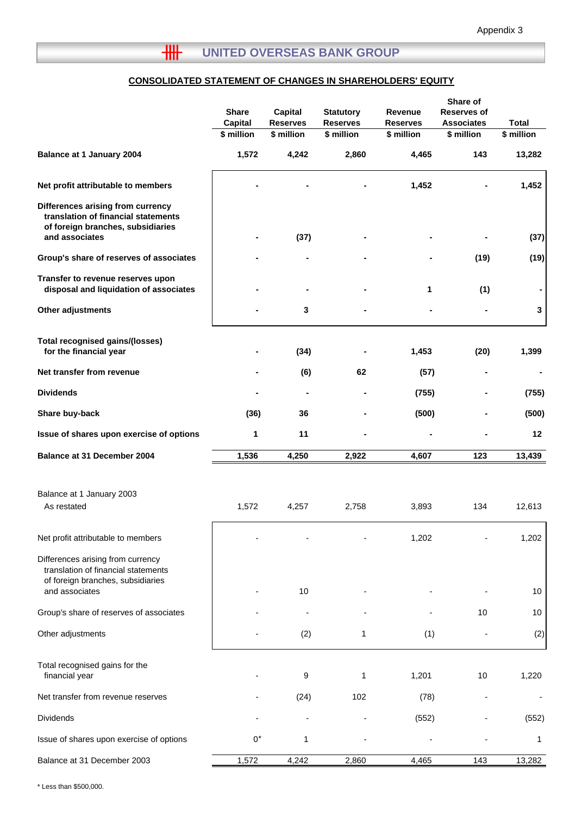# **CONSOLIDATED STATEMENT OF CHANGES IN SHAREHOLDERS' EQUITY**

|                                                                                                                                 | <b>Share</b><br><b>Capital</b> | Capital<br><b>Reserves</b> | <b>Statutory</b><br><b>Reserves</b> | Revenue<br><b>Reserves</b> | Share of<br><b>Reserves of</b><br><b>Associates</b> | <b>Total</b> |
|---------------------------------------------------------------------------------------------------------------------------------|--------------------------------|----------------------------|-------------------------------------|----------------------------|-----------------------------------------------------|--------------|
|                                                                                                                                 | \$ million                     | \$ million                 | \$ million                          | \$ million                 | \$ million                                          | \$ million   |
| Balance at 1 January 2004                                                                                                       | 1,572                          | 4,242                      | 2,860                               | 4,465                      | 143                                                 | 13,282       |
| Net profit attributable to members                                                                                              |                                |                            |                                     | 1,452                      |                                                     | 1,452        |
| Differences arising from currency<br>translation of financial statements<br>of foreign branches, subsidiaries<br>and associates |                                | (37)                       |                                     |                            |                                                     | (37)         |
| Group's share of reserves of associates                                                                                         |                                |                            |                                     |                            | (19)                                                | (19)         |
| Transfer to revenue reserves upon<br>disposal and liquidation of associates                                                     |                                |                            |                                     | 1                          | (1)                                                 |              |
| Other adjustments                                                                                                               |                                | 3                          |                                     |                            |                                                     | 3            |
| <b>Total recognised gains/(losses)</b>                                                                                          |                                |                            |                                     |                            |                                                     |              |
| for the financial year                                                                                                          | ۰                              | (34)                       |                                     | 1,453                      | (20)                                                | 1,399        |
| Net transfer from revenue                                                                                                       |                                | (6)                        | 62                                  | (57)                       |                                                     |              |
| <b>Dividends</b>                                                                                                                |                                | $\blacksquare$             |                                     | (755)                      |                                                     | (755)        |
| Share buy-back                                                                                                                  | (36)                           | 36                         |                                     | (500)                      |                                                     | (500)        |
| Issue of shares upon exercise of options                                                                                        | 1                              | 11                         |                                     |                            |                                                     | 12           |
| Balance at 31 December 2004                                                                                                     | 1,536                          | 4,250                      | 2,922                               | 4,607                      | 123                                                 | 13,439       |
|                                                                                                                                 |                                |                            |                                     |                            |                                                     |              |
| Balance at 1 January 2003<br>As restated                                                                                        | 1,572                          | 4,257                      | 2,758                               | 3,893                      | 134                                                 | 12,613       |
|                                                                                                                                 |                                |                            |                                     |                            |                                                     |              |
| Net profit attributable to members                                                                                              |                                |                            |                                     | 1,202                      |                                                     | 1,202        |
| Differences arising from currency<br>translation of financial statements<br>of foreign branches, subsidiaries                   |                                |                            |                                     |                            |                                                     |              |
| and associates                                                                                                                  |                                | 10                         |                                     |                            |                                                     | 10           |
| Group's share of reserves of associates                                                                                         |                                |                            |                                     |                            | 10                                                  | 10           |
| Other adjustments                                                                                                               |                                | (2)                        | 1                                   | (1)                        |                                                     | (2)          |
| Total recognised gains for the<br>financial year                                                                                |                                | 9                          | 1                                   | 1,201                      | 10                                                  | 1,220        |
| Net transfer from revenue reserves                                                                                              |                                | (24)                       | 102                                 | (78)                       |                                                     |              |
| Dividends                                                                                                                       |                                |                            |                                     | (552)                      |                                                     | (552)        |
| Issue of shares upon exercise of options                                                                                        | $0^*$                          | 1                          |                                     |                            |                                                     | 1            |
| Balance at 31 December 2003                                                                                                     | 1,572                          | 4,242                      | 2,860                               | 4,465                      | 143                                                 | 13,282       |

\* Less than \$500,000.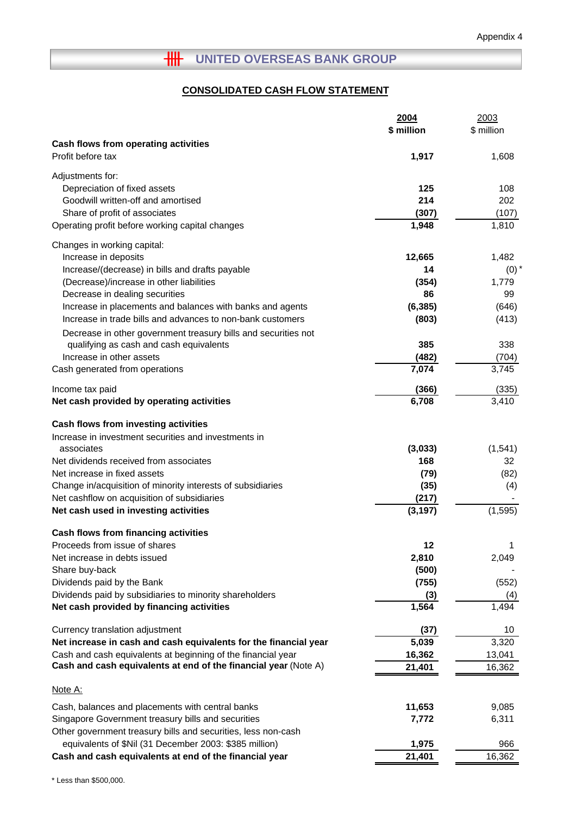# **HH** UNITED OVERSEAS BANK GROUP

# **CONSOLIDATED CASH FLOW STATEMENT**

|                                                                  | 2004       | 2003       |
|------------------------------------------------------------------|------------|------------|
|                                                                  | \$ million | \$ million |
| Cash flows from operating activities                             |            |            |
| Profit before tax                                                | 1,917      | 1,608      |
| Adjustments for:                                                 |            |            |
| Depreciation of fixed assets                                     | 125        | 108        |
| Goodwill written-off and amortised                               | 214        | 202        |
| Share of profit of associates                                    | (307)      | (107)      |
| Operating profit before working capital changes                  | 1,948      | 1,810      |
|                                                                  |            |            |
| Changes in working capital:                                      |            |            |
| Increase in deposits                                             | 12,665     | 1,482      |
| Increase/(decrease) in bills and drafts payable                  | 14         | $(0)$ $*$  |
| (Decrease)/increase in other liabilities                         | (354)      | 1,779      |
| Decrease in dealing securities                                   | 86         | 99         |
| Increase in placements and balances with banks and agents        | (6, 385)   | (646)      |
| Increase in trade bills and advances to non-bank customers       | (803)      | (413)      |
| Decrease in other government treasury bills and securities not   |            |            |
| qualifying as cash and cash equivalents                          | 385        | 338        |
| Increase in other assets                                         | (482)      | (704)      |
| Cash generated from operations                                   | 7,074      | 3,745      |
| Income tax paid                                                  | (366)      | (335)      |
| Net cash provided by operating activities                        | 6,708      | 3,410      |
|                                                                  |            |            |
| Cash flows from investing activities                             |            |            |
| Increase in investment securities and investments in             |            |            |
| associates                                                       | (3,033)    | (1, 541)   |
| Net dividends received from associates                           | 168        | 32         |
| Net increase in fixed assets                                     | (79)       | (82)       |
| Change in/acquisition of minority interests of subsidiaries      | (35)       | (4)        |
| Net cashflow on acquisition of subsidiaries                      | (217)      |            |
| Net cash used in investing activities                            | (3, 197)   | (1, 595)   |
| Cash flows from financing activities                             |            |            |
| Proceeds from issue of shares                                    | 12         | 1          |
| Net increase in debts issued                                     | 2,810      | 2,049      |
| Share buy-back                                                   | (500)      |            |
| Dividends paid by the Bank                                       | (755)      | (552)      |
| Dividends paid by subsidiaries to minority shareholders          | (3)        | (4)        |
| Net cash provided by financing activities                        | 1,564      | 1,494      |
|                                                                  |            |            |
| Currency translation adjustment                                  | (37)       | 10         |
| Net increase in cash and cash equivalents for the financial year | 5,039      | 3,320      |
| Cash and cash equivalents at beginning of the financial year     | 16,362     | 13,041     |
| Cash and cash equivalents at end of the financial year (Note A)  | 21,401     | 16,362     |
| Note A:                                                          |            |            |
| Cash, balances and placements with central banks                 | 11,653     | 9,085      |
| Singapore Government treasury bills and securities               | 7,772      | 6,311      |
| Other government treasury bills and securities, less non-cash    |            |            |
| equivalents of \$Nil (31 December 2003: \$385 million)           | 1,975      | 966        |
| Cash and cash equivalents at end of the financial year           | 21,401     | 16,362     |
|                                                                  |            |            |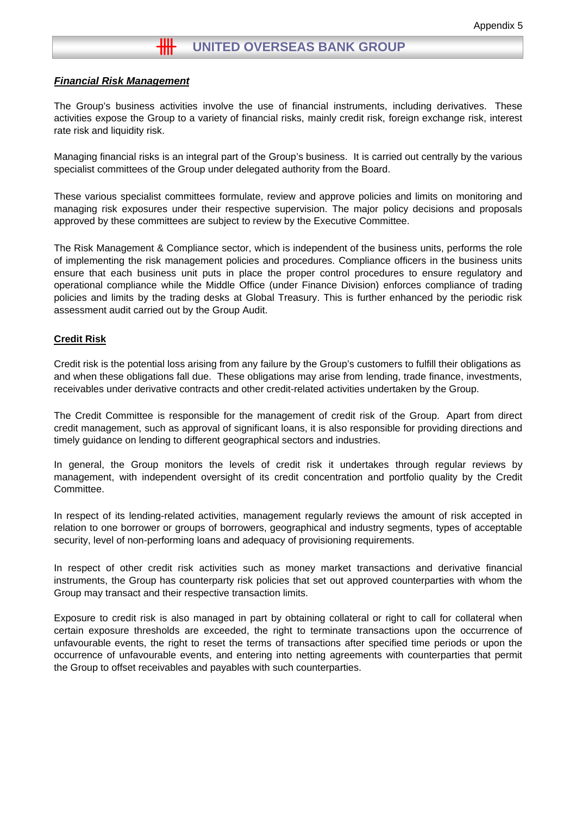#### *Financial Risk Management*

The Group's business activities involve the use of financial instruments, including derivatives. These activities expose the Group to a variety of financial risks, mainly credit risk, foreign exchange risk, interest rate risk and liquidity risk.

Managing financial risks is an integral part of the Group's business. It is carried out centrally by the various specialist committees of the Group under delegated authority from the Board.

These various specialist committees formulate, review and approve policies and limits on monitoring and managing risk exposures under their respective supervision. The major policy decisions and proposals approved by these committees are subject to review by the Executive Committee.

The Risk Management & Compliance sector, which is independent of the business units, performs the role of implementing the risk management policies and procedures. Compliance officers in the business units ensure that each business unit puts in place the proper control procedures to ensure regulatory and operational compliance while the Middle Office (under Finance Division) enforces compliance of trading policies and limits by the trading desks at Global Treasury. This is further enhanced by the periodic risk assessment audit carried out by the Group Audit.

#### **Credit Risk**

Credit risk is the potential loss arising from any failure by the Group's customers to fulfill their obligations as and when these obligations fall due. These obligations may arise from lending, trade finance, investments, receivables under derivative contracts and other credit-related activities undertaken by the Group.

The Credit Committee is responsible for the management of credit risk of the Group. Apart from direct credit management, such as approval of significant loans, it is also responsible for providing directions and timely guidance on lending to different geographical sectors and industries.

In general, the Group monitors the levels of credit risk it undertakes through regular reviews by management, with independent oversight of its credit concentration and portfolio quality by the Credit Committee.

In respect of its lending-related activities, management regularly reviews the amount of risk accepted in relation to one borrower or groups of borrowers, geographical and industry segments, types of acceptable security, level of non-performing loans and adequacy of provisioning requirements.

In respect of other credit risk activities such as money market transactions and derivative financial instruments, the Group has counterparty risk policies that set out approved counterparties with whom the Group may transact and their respective transaction limits.

Exposure to credit risk is also managed in part by obtaining collateral or right to call for collateral when certain exposure thresholds are exceeded, the right to terminate transactions upon the occurrence of unfavourable events, the right to reset the terms of transactions after specified time periods or upon the occurrence of unfavourable events, and entering into netting agreements with counterparties that permit the Group to offset receivables and payables with such counterparties.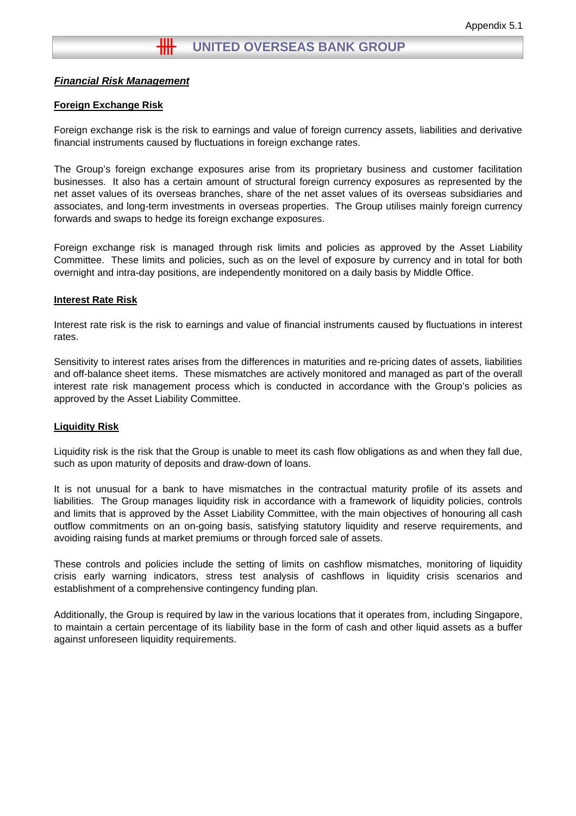#### *Financial Risk Management*

#### **Foreign Exchange Risk**

Foreign exchange risk is the risk to earnings and value of foreign currency assets, liabilities and derivative financial instruments caused by fluctuations in foreign exchange rates.

The Group's foreign exchange exposures arise from its proprietary business and customer facilitation businesses. It also has a certain amount of structural foreign currency exposures as represented by the net asset values of its overseas branches, share of the net asset values of its overseas subsidiaries and associates, and long-term investments in overseas properties. The Group utilises mainly foreign currency forwards and swaps to hedge its foreign exchange exposures.

Foreign exchange risk is managed through risk limits and policies as approved by the Asset Liability Committee. These limits and policies, such as on the level of exposure by currency and in total for both overnight and intra-day positions, are independently monitored on a daily basis by Middle Office.

#### **Interest Rate Risk**

Interest rate risk is the risk to earnings and value of financial instruments caused by fluctuations in interest rates.

Sensitivity to interest rates arises from the differences in maturities and re-pricing dates of assets, liabilities and off-balance sheet items. These mismatches are actively monitored and managed as part of the overall interest rate risk management process which is conducted in accordance with the Group's policies as approved by the Asset Liability Committee.

#### **Liquidity Risk**

Liquidity risk is the risk that the Group is unable to meet its cash flow obligations as and when they fall due, such as upon maturity of deposits and draw-down of loans.

It is not unusual for a bank to have mismatches in the contractual maturity profile of its assets and liabilities. The Group manages liquidity risk in accordance with a framework of liquidity policies, controls and limits that is approved by the Asset Liability Committee, with the main objectives of honouring all cash outflow commitments on an on-going basis, satisfying statutory liquidity and reserve requirements, and avoiding raising funds at market premiums or through forced sale of assets.

These controls and policies include the setting of limits on cashflow mismatches, monitoring of liquidity crisis early warning indicators, stress test analysis of cashflows in liquidity crisis scenarios and establishment of a comprehensive contingency funding plan.

Additionally, the Group is required by law in the various locations that it operates from, including Singapore, to maintain a certain percentage of its liability base in the form of cash and other liquid assets as a buffer against unforeseen liquidity requirements.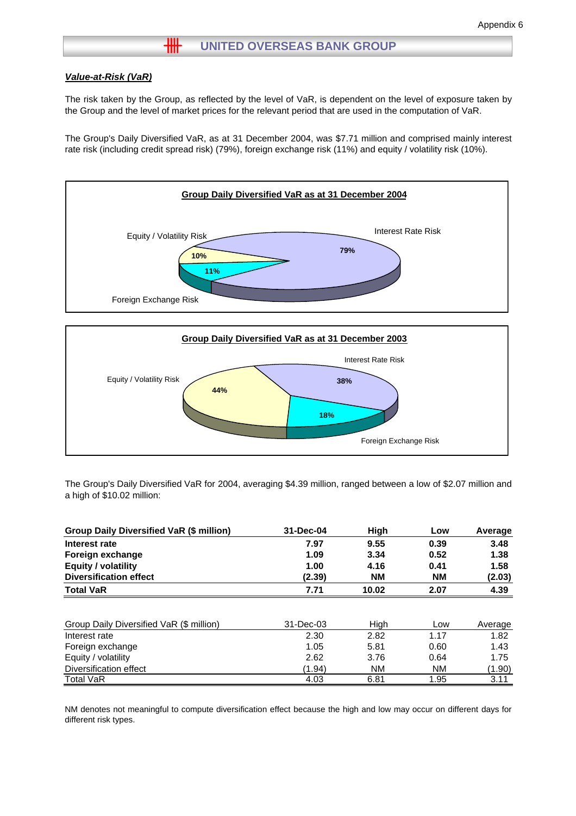# **WE UNITED OVERSEAS BANK GROUP**

#### *Value-at-Risk (VaR)*

The risk taken by the Group, as reflected by the level of VaR, is dependent on the level of exposure taken by the Group and the level of market prices for the relevant period that are used in the computation of VaR.

The Group's Daily Diversified VaR, as at 31 December 2004, was \$7.71 million and comprised mainly interest rate risk (including credit spread risk) (79%), foreign exchange risk (11%) and equity / volatility risk (10%).



The Group's Daily Diversified VaR for 2004, averaging \$4.39 million, ranged between a low of \$2.07 million and a high of \$10.02 million:

**18%**

Foreign Exchange Risk

| Group Daily Diversified VaR (\$ million) | 31-Dec-04 | High      | Low       | Average |
|------------------------------------------|-----------|-----------|-----------|---------|
| Interest rate                            | 7.97      | 9.55      | 0.39      | 3.48    |
| Foreign exchange                         | 1.09      | 3.34      | 0.52      | 1.38    |
| <b>Equity / volatility</b>               | 1.00      | 4.16      | 0.41      | 1.58    |
| <b>Diversification effect</b>            | (2.39)    | <b>NM</b> | <b>NM</b> | (2.03)  |
| <b>Total VaR</b>                         | 7.71      | 10.02     | 2.07      | 4.39    |
|                                          |           |           |           |         |
| Group Daily Diversified VaR (\$ million) | 31-Dec-03 | High      | Low       | Average |
| Interest rate                            | 2.30      | 2.82      | 1.17      | 1.82    |
| Foreign exchange                         | 1.05      | 5.81      | 0.60      | 1.43    |
| Equity / volatility                      | 2.62      | 3.76      | 0.64      | 1.75    |
| Diversification effect                   | (1.94)    | <b>NM</b> | <b>NM</b> | (1.90)  |
| <b>Total VaR</b>                         | 4.03      | 6.81      | 1.95      | 3.11    |

NM denotes not meaningful to compute diversification effect because the high and low may occur on different days for different risk types.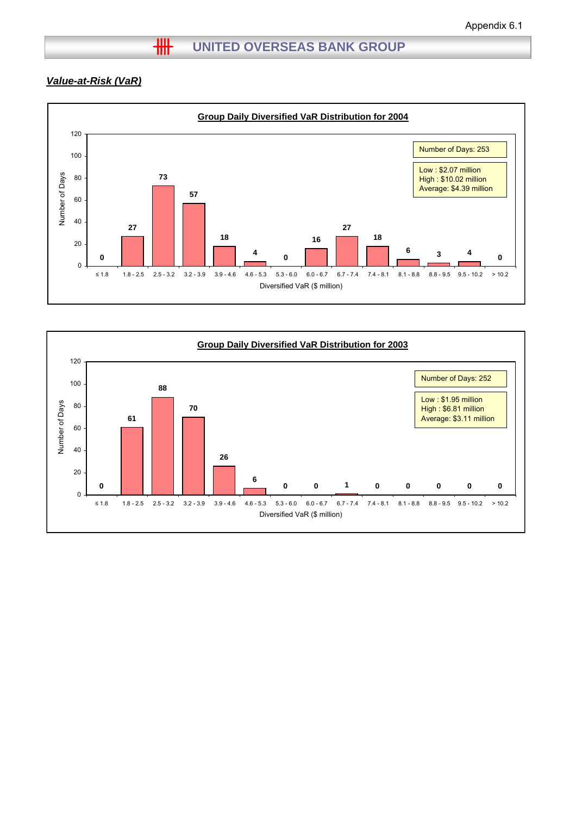# *Value-at-Risk (VaR)*